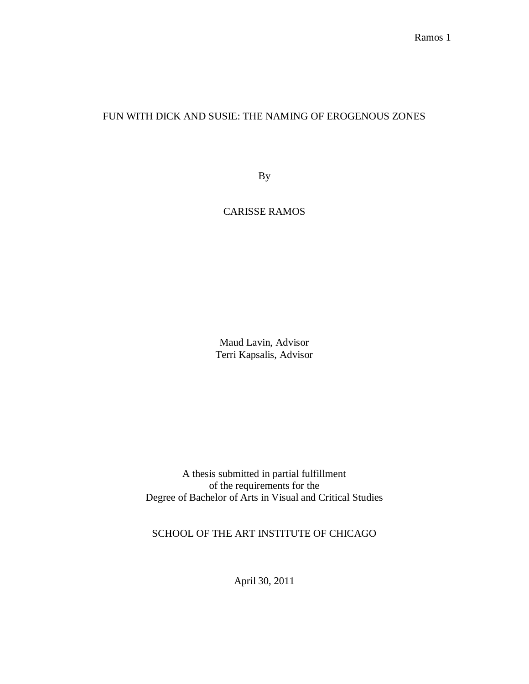# FUN WITH DICK AND SUSIE: THE NAMING OF EROGENOUS ZONES

By

# CARISSE RAMOS

Maud Lavin, Advisor Terri Kapsalis, Advisor

A thesis submitted in partial fulfillment of the requirements for the Degree of Bachelor of Arts in Visual and Critical Studies

SCHOOL OF THE ART INSTITUTE OF CHICAGO

April 30, 2011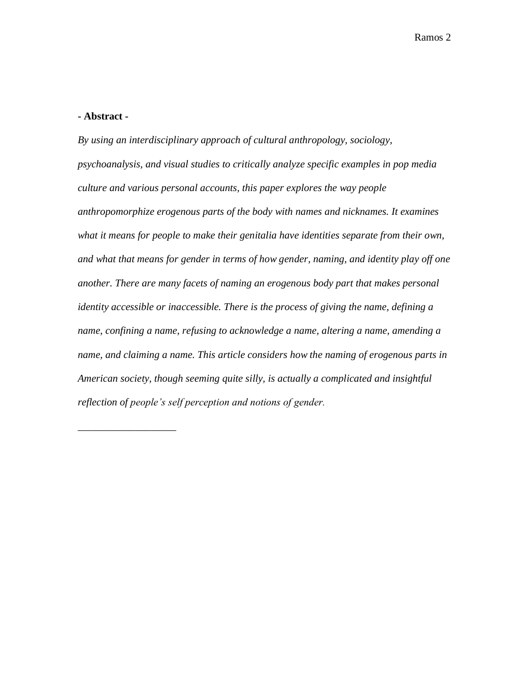## **- Abstract -**

\_\_\_\_\_\_\_\_\_\_\_\_\_\_\_\_\_\_\_

*By using an interdisciplinary approach of cultural anthropology, sociology, psychoanalysis, and visual studies to critically analyze specific examples in pop media culture and various personal accounts, this paper explores the way people anthropomorphize erogenous parts of the body with names and nicknames. It examines what it means for people to make their genitalia have identities separate from their own, and what that means for gender in terms of how gender, naming, and identity play off one*  another. There are many facets of naming an erogenous body part that makes personal *identity accessible or inaccessible. There is the process of giving the name, defining a name, confining a name, refusing to acknowledge a name, altering a name, amending a name, and claiming a name. This article considers how the naming of erogenous parts in American society, though seeming quite silly, is actually a complicated and insightful reflection of people's self perception and notions of gender.*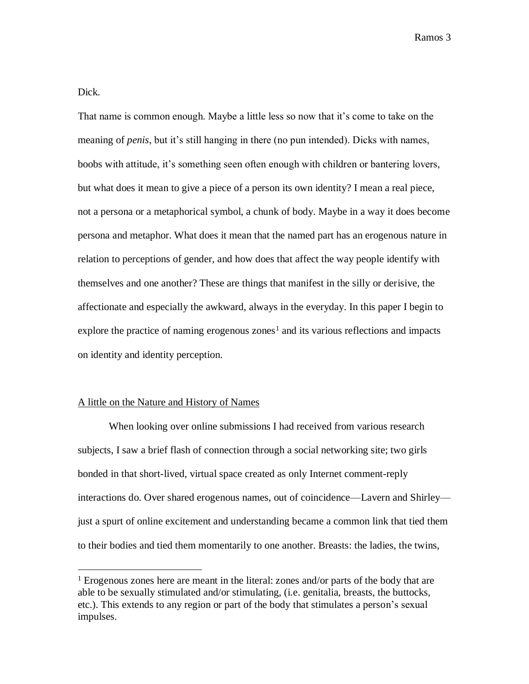Dick.

 $\overline{a}$ 

That name is common enough. Maybe a little less so now that it's come to take on the meaning of *penis*, but it's still hanging in there (no pun intended). Dicks with names, boobs with attitude, it's something seen often enough with children or bantering lovers, but what does it mean to give a piece of a person its own identity? I mean a real piece, not a persona or a metaphorical symbol, a chunk of body. Maybe in a way it does become persona and metaphor. What does it mean that the named part has an erogenous nature in relation to perceptions of gender, and how does that affect the way people identify with themselves and one another? These are things that manifest in the silly or derisive, the affectionate and especially the awkward, always in the everyday. In this paper I begin to explore the practice of naming erogenous zones<sup>1</sup> and its various reflections and impacts on identity and identity perception.

## A little on the Nature and History of Names

When looking over online submissions I had received from various research subjects, I saw a brief flash of connection through a social networking site; two girls bonded in that short-lived, virtual space created as only Internet comment-reply interactions do. Over shared erogenous names, out of coincidence—Lavern and Shirley just a spurt of online excitement and understanding became a common link that tied them to their bodies and tied them momentarily to one another. Breasts: the ladies, the twins,

 $<sup>1</sup>$  Erogenous zones here are meant in the literal: zones and/or parts of the body that are</sup> able to be sexually stimulated and/or stimulating, (i.e. genitalia, breasts, the buttocks, etc.). This extends to any region or part of the body that stimulates a person's sexual impulses.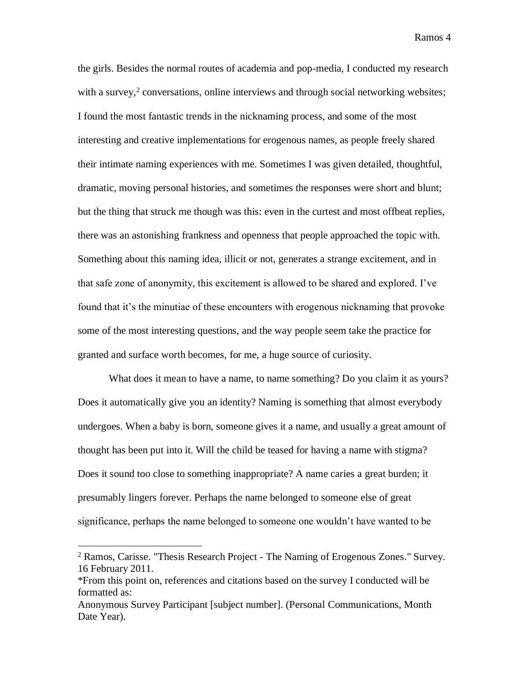the girls. Besides the normal routes of academia and pop-media, I conducted my research with a survey,<sup>2</sup> conversations, online interviews and through social networking websites; I found the most fantastic trends in the nicknaming process, and some of the most interesting and creative implementations for erogenous names, as people freely shared their intimate naming experiences with me. Sometimes I was given detailed, thoughtful, dramatic, moving personal histories, and sometimes the responses were short and blunt; but the thing that struck me though was this: even in the curtest and most offbeat replies, there was an astonishing frankness and openness that people approached the topic with. Something about this naming idea, illicit or not, generates a strange excitement, and in that safe zone of anonymity, this excitement is allowed to be shared and explored. I've found that it's the minutiae of these encounters with erogenous nicknaming that provoke some of the most interesting questions, and the way people seem take the practice for granted and surface worth becomes, for me, a huge source of curiosity.

What does it mean to have a name, to name something? Do you claim it as yours? Does it automatically give you an identity? Naming is something that almost everybody undergoes. When a baby is born, someone gives it a name, and usually a great amount of thought has been put into it. Will the child be teased for having a name with stigma? Does it sound too close to something inappropriate? A name caries a great burden; it presumably lingers forever. Perhaps the name belonged to someone else of great significance, perhaps the name belonged to someone one wouldn't have wanted to be

<sup>2</sup> Ramos, Carisse. "Thesis Research Project - The Naming of Erogenous Zones." Survey. 16 February 2011.

<sup>\*</sup>From this point on, references and citations based on the survey I conducted will be formatted as:

Anonymous Survey Participant [subject number]. (Personal Communications, Month Date Year).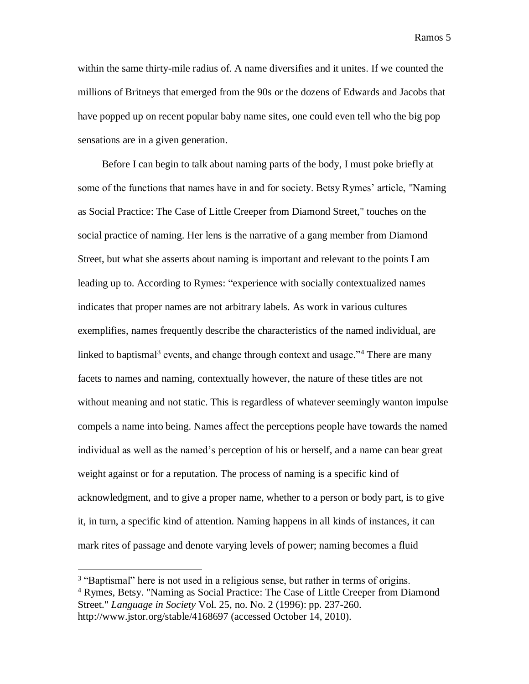within the same thirty-mile radius of. A name diversifies and it unites. If we counted the millions of Britneys that emerged from the 90s or the dozens of Edwards and Jacobs that have popped up on recent popular baby name sites, one could even tell who the big pop sensations are in a given generation.

Before I can begin to talk about naming parts of the body, I must poke briefly at some of the functions that names have in and for society. Betsy Rymes' article, "Naming as Social Practice: The Case of Little Creeper from Diamond Street," touches on the social practice of naming. Her lens is the narrative of a gang member from Diamond Street, but what she asserts about naming is important and relevant to the points I am leading up to. According to Rymes: "experience with socially contextualized names indicates that proper names are not arbitrary labels. As work in various cultures exemplifies, names frequently describe the characteristics of the named individual, are linked to baptismal<sup>3</sup> events, and change through context and usage."<sup>4</sup> There are many facets to names and naming, contextually however, the nature of these titles are not without meaning and not static. This is regardless of whatever seemingly wanton impulse compels a name into being. Names affect the perceptions people have towards the named individual as well as the named's perception of his or herself, and a name can bear great weight against or for a reputation. The process of naming is a specific kind of acknowledgment, and to give a proper name, whether to a person or body part, is to give it, in turn, a specific kind of attention. Naming happens in all kinds of instances, it can mark rites of passage and denote varying levels of power; naming becomes a fluid

<sup>&</sup>lt;sup>3</sup> "Baptismal" here is not used in a religious sense, but rather in terms of origins. <sup>4</sup> Rymes, Betsy. "Naming as Social Practice: The Case of Little Creeper from Diamond Street." *Language in Society* Vol. 25, no. No. 2 (1996): pp. 237-260. http://www.jstor.org/stable/4168697 (accessed October 14, 2010).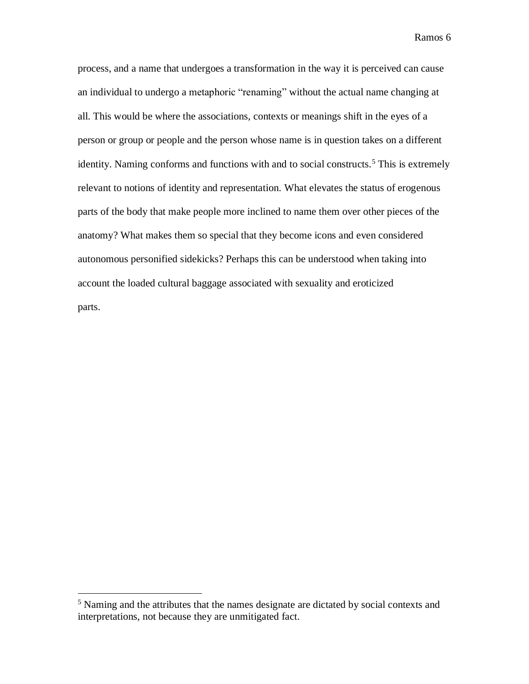process, and a name that undergoes a transformation in the way it is perceived can cause an individual to undergo a metaphoric "renaming" without the actual name changing at all. This would be where the associations, contexts or meanings shift in the eyes of a person or group or people and the person whose name is in question takes on a different identity. Naming conforms and functions with and to social constructs.<sup>5</sup> This is extremely relevant to notions of identity and representation. What elevates the status of erogenous parts of the body that make people more inclined to name them over other pieces of the anatomy? What makes them so special that they become icons and even considered autonomous personified sidekicks? Perhaps this can be understood when taking into account the loaded cultural baggage associated with sexuality and eroticized parts.

<sup>5</sup> Naming and the attributes that the names designate are dictated by social contexts and interpretations, not because they are unmitigated fact.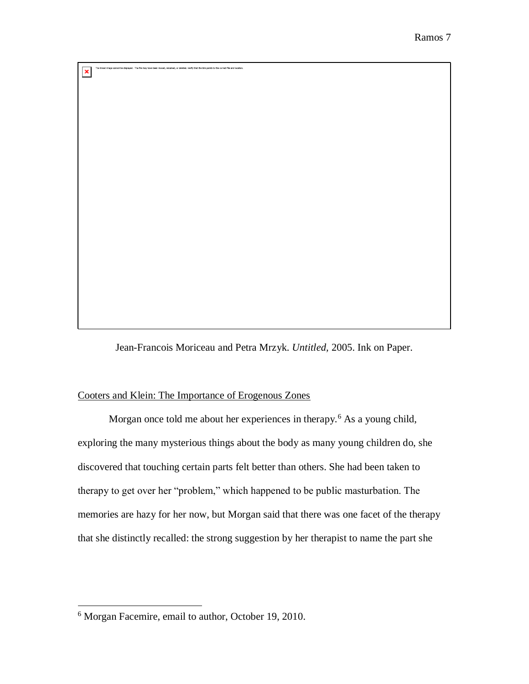Jean-Francois Moriceau and Petra Mrzyk. *Untitled,* 2005. Ink on Paper.

# Cooters and Klein: The Importance of Erogenous Zones

.<br>I be displayed. The file may have been moved, renamed, or deleted. Verify that the link points to the correct file and location.

 $\pmb{\times}$ 

Morgan once told me about her experiences in therapy.<sup>6</sup> As a young child, exploring the many mysterious things about the body as many young children do, she discovered that touching certain parts felt better than others. She had been taken to therapy to get over her "problem," which happened to be public masturbation. The memories are hazy for her now, but Morgan said that there was one facet of the therapy that she distinctly recalled: the strong suggestion by her therapist to name the part she

<sup>6</sup> Morgan Facemire, email to author, October 19, 2010.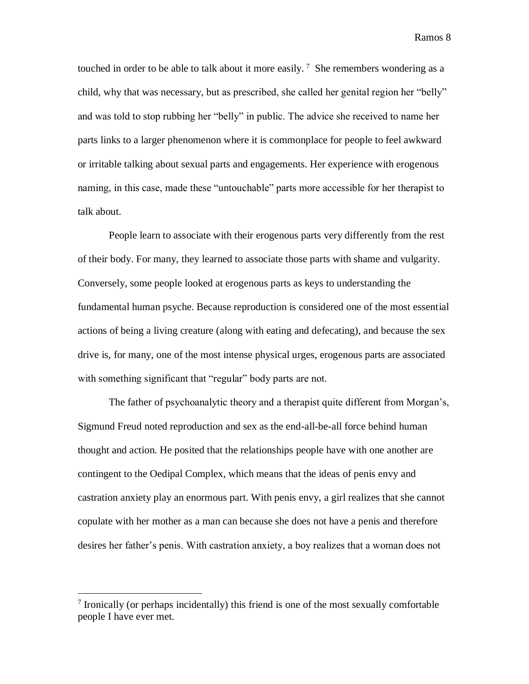touched in order to be able to talk about it more easily.<sup>7</sup> She remembers wondering as a child, why that was necessary, but as prescribed, she called her genital region her "belly" and was told to stop rubbing her "belly" in public. The advice she received to name her parts links to a larger phenomenon where it is commonplace for people to feel awkward or irritable talking about sexual parts and engagements. Her experience with erogenous naming, in this case, made these "untouchable" parts more accessible for her therapist to talk about.

People learn to associate with their erogenous parts very differently from the rest of their body. For many, they learned to associate those parts with shame and vulgarity. Conversely, some people looked at erogenous parts as keys to understanding the fundamental human psyche. Because reproduction is considered one of the most essential actions of being a living creature (along with eating and defecating), and because the sex drive is, for many, one of the most intense physical urges, erogenous parts are associated with something significant that "regular" body parts are not.

The father of psychoanalytic theory and a therapist quite different from Morgan's, Sigmund Freud noted reproduction and sex as the end-all-be-all force behind human thought and action. He posited that the relationships people have with one another are contingent to the Oedipal Complex, which means that the ideas of penis envy and castration anxiety play an enormous part. With penis envy, a girl realizes that she cannot copulate with her mother as a man can because she does not have a penis and therefore desires her father's penis. With castration anxiety, a boy realizes that a woman does not

<sup>7</sup> Ironically (or perhaps incidentally) this friend is one of the most sexually comfortable people I have ever met.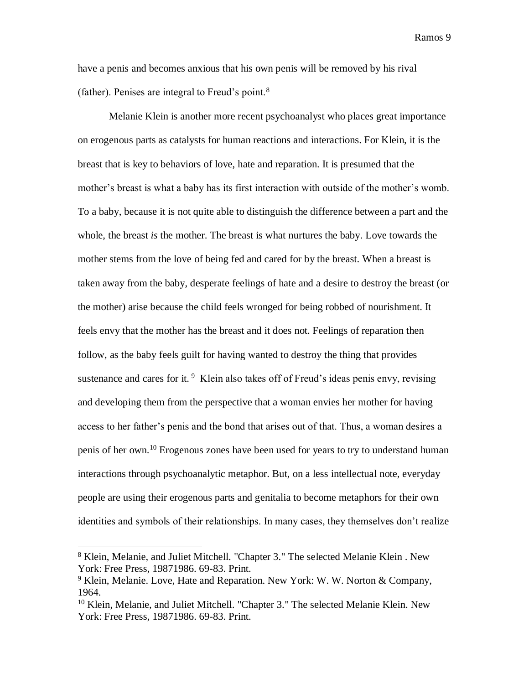have a penis and becomes anxious that his own penis will be removed by his rival (father). Penises are integral to Freud's point.<sup>8</sup>

Melanie Klein is another more recent psychoanalyst who places great importance on erogenous parts as catalysts for human reactions and interactions. For Klein, it is the breast that is key to behaviors of love, hate and reparation. It is presumed that the mother's breast is what a baby has its first interaction with outside of the mother's womb. To a baby, because it is not quite able to distinguish the difference between a part and the whole, the breast *is* the mother. The breast is what nurtures the baby. Love towards the mother stems from the love of being fed and cared for by the breast. When a breast is taken away from the baby, desperate feelings of hate and a desire to destroy the breast (or the mother) arise because the child feels wronged for being robbed of nourishment. It feels envy that the mother has the breast and it does not. Feelings of reparation then follow, as the baby feels guilt for having wanted to destroy the thing that provides sustenance and cares for it. <sup>9</sup> Klein also takes off of Freud's ideas penis envy, revising and developing them from the perspective that a woman envies her mother for having access to her father's penis and the bond that arises out of that. Thus, a woman desires a penis of her own.<sup>10</sup> Erogenous zones have been used for years to try to understand human interactions through psychoanalytic metaphor. But, on a less intellectual note, everyday people are using their erogenous parts and genitalia to become metaphors for their own identities and symbols of their relationships. In many cases, they themselves don't realize

<sup>8</sup> Klein, Melanie, and Juliet Mitchell. "Chapter 3." The selected Melanie Klein . New York: Free Press, 19871986. 69-83. Print.

<sup>&</sup>lt;sup>9</sup> Klein, Melanie. Love, Hate and Reparation. New York: W. W. Norton & Company, 1964.

<sup>10</sup> Klein, Melanie, and Juliet Mitchell. "Chapter 3." The selected Melanie Klein. New York: Free Press, 19871986. 69-83. Print.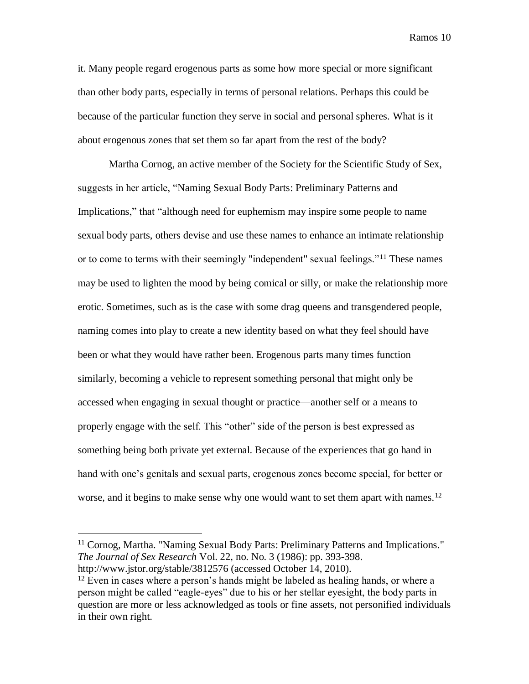it. Many people regard erogenous parts as some how more special or more significant than other body parts, especially in terms of personal relations. Perhaps this could be because of the particular function they serve in social and personal spheres. What is it about erogenous zones that set them so far apart from the rest of the body?

Martha Cornog, an active member of the Society for the Scientific Study of Sex, suggests in her article, "Naming Sexual Body Parts: Preliminary Patterns and Implications," that "although need for euphemism may inspire some people to name sexual body parts, others devise and use these names to enhance an intimate relationship or to come to terms with their seemingly "independent" sexual feelings."<sup>11</sup> These names may be used to lighten the mood by being comical or silly, or make the relationship more erotic. Sometimes, such as is the case with some drag queens and transgendered people, naming comes into play to create a new identity based on what they feel should have been or what they would have rather been. Erogenous parts many times function similarly, becoming a vehicle to represent something personal that might only be accessed when engaging in sexual thought or practice—another self or a means to properly engage with the self. This "other" side of the person is best expressed as something being both private yet external. Because of the experiences that go hand in hand with one's genitals and sexual parts, erogenous zones become special, for better or worse, and it begins to make sense why one would want to set them apart with names.<sup>12</sup>

<sup>&</sup>lt;sup>11</sup> Cornog, Martha. "Naming Sexual Body Parts: Preliminary Patterns and Implications." *The Journal of Sex Research* Vol. 22, no. No. 3 (1986): pp. 393-398. http://www.jstor.org/stable/3812576 (accessed October 14, 2010).

<sup>&</sup>lt;sup>12</sup> Even in cases where a person's hands might be labeled as healing hands, or where a person might be called "eagle-eyes" due to his or her stellar eyesight, the body parts in question are more or less acknowledged as tools or fine assets, not personified individuals in their own right.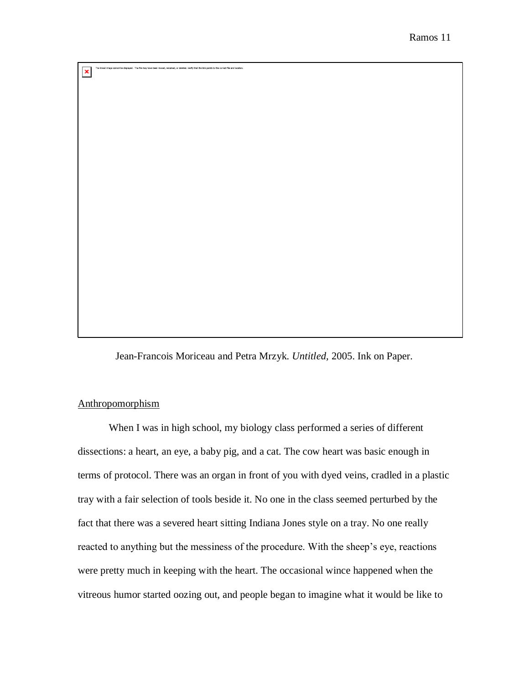Jean-Francois Moriceau and Petra Mrzyk*. Untitled,* 2005. Ink on Paper.

# Anthropomorphism

 $\pmb{\times}$ 

When I was in high school, my biology class performed a series of different dissections: a heart, an eye, a baby pig, and a cat. The cow heart was basic enough in terms of protocol. There was an organ in front of you with dyed veins, cradled in a plastic tray with a fair selection of tools beside it. No one in the class seemed perturbed by the fact that there was a severed heart sitting Indiana Jones style on a tray. No one really reacted to anything but the messiness of the procedure. With the sheep's eye, reactions were pretty much in keeping with the heart. The occasional wince happened when the vitreous humor started oozing out, and people began to imagine what it would be like to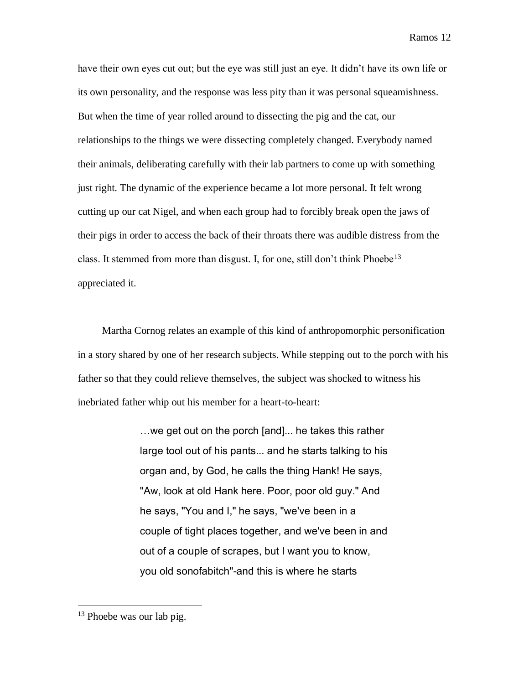have their own eyes cut out; but the eye was still just an eye. It didn't have its own life or its own personality, and the response was less pity than it was personal squeamishness. But when the time of year rolled around to dissecting the pig and the cat, our relationships to the things we were dissecting completely changed. Everybody named their animals, deliberating carefully with their lab partners to come up with something just right. The dynamic of the experience became a lot more personal. It felt wrong cutting up our cat Nigel, and when each group had to forcibly break open the jaws of their pigs in order to access the back of their throats there was audible distress from the class. It stemmed from more than disgust. I, for one, still don't think Phoebe<sup>13</sup> appreciated it.

Martha Cornog relates an example of this kind of anthropomorphic personification in a story shared by one of her research subjects. While stepping out to the porch with his father so that they could relieve themselves, the subject was shocked to witness his inebriated father whip out his member for a heart-to-heart:

> …we get out on the porch [and]... he takes this rather large tool out of his pants... and he starts talking to his organ and, by God, he calls the thing Hank! He says, "Aw, look at old Hank here. Poor, poor old guy." And he says, "You and I," he says, "we've been in a couple of tight places together, and we've been in and out of a couple of scrapes, but I want you to know, you old sonofabitch"-and this is where he starts

<sup>&</sup>lt;sup>13</sup> Phoebe was our lab pig.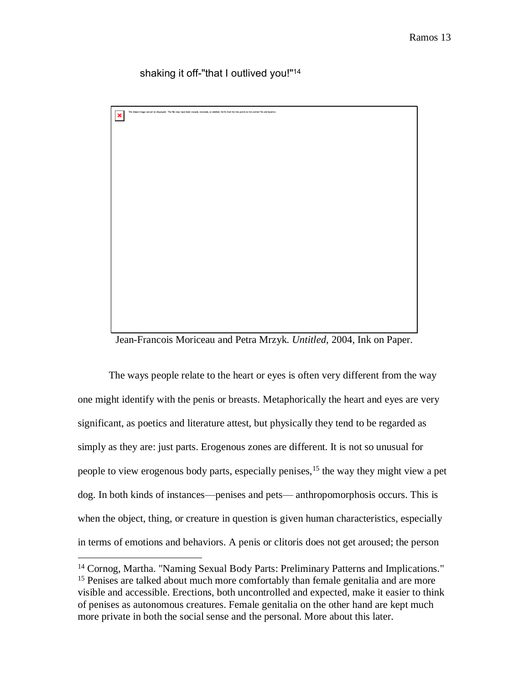shaking it off-"that I outlived you!"<sup>14</sup>



Jean-Francois Moriceau and Petra Mrzyk. *Untitled,* 2004, Ink on Paper.

The ways people relate to the heart or eyes is often very different from the way one might identify with the penis or breasts. Metaphorically the heart and eyes are very significant, as poetics and literature attest, but physically they tend to be regarded as simply as they are: just parts. Erogenous zones are different. It is not so unusual for people to view erogenous body parts, especially penises,<sup>15</sup> the way they might view a pet dog. In both kinds of instances—penises and pets— anthropomorphosis occurs. This is when the object, thing, or creature in question is given human characteristics, especially in terms of emotions and behaviors. A penis or clitoris does not get aroused; the person

<sup>&</sup>lt;sup>14</sup> Cornog, Martha. "Naming Sexual Body Parts: Preliminary Patterns and Implications." <sup>15</sup> Penises are talked about much more comfortably than female genitalia and are more visible and accessible. Erections, both uncontrolled and expected, make it easier to think of penises as autonomous creatures. Female genitalia on the other hand are kept much more private in both the social sense and the personal. More about this later.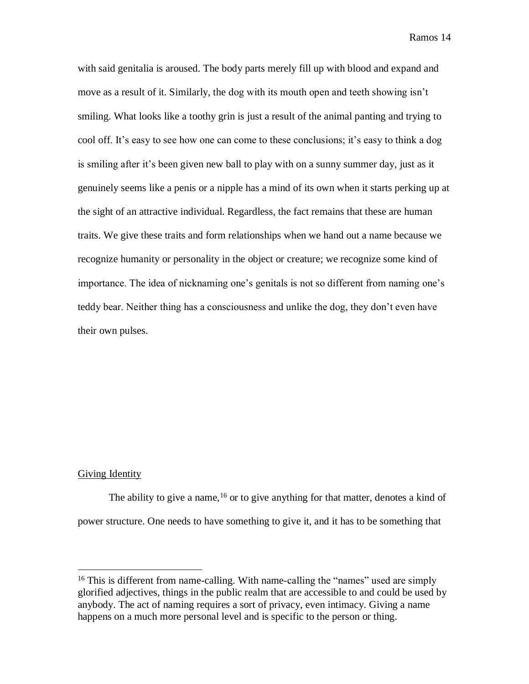with said genitalia is aroused. The body parts merely fill up with blood and expand and move as a result of it. Similarly, the dog with its mouth open and teeth showing isn't smiling. What looks like a toothy grin is just a result of the animal panting and trying to cool off. It's easy to see how one can come to these conclusions; it's easy to think a dog is smiling after it's been given new ball to play with on a sunny summer day, just as it genuinely seems like a penis or a nipple has a mind of its own when it starts perking up at the sight of an attractive individual. Regardless, the fact remains that these are human traits. We give these traits and form relationships when we hand out a name because we recognize humanity or personality in the object or creature; we recognize some kind of importance. The idea of nicknaming one's genitals is not so different from naming one's teddy bear. Neither thing has a consciousness and unlike the dog, they don't even have their own pulses.

#### Giving Identity

 $\overline{a}$ 

The ability to give a name,  $16$  or to give anything for that matter, denotes a kind of power structure. One needs to have something to give it, and it has to be something that

<sup>&</sup>lt;sup>16</sup> This is different from name-calling. With name-calling the "names" used are simply glorified adjectives, things in the public realm that are accessible to and could be used by anybody. The act of naming requires a sort of privacy, even intimacy. Giving a name happens on a much more personal level and is specific to the person or thing.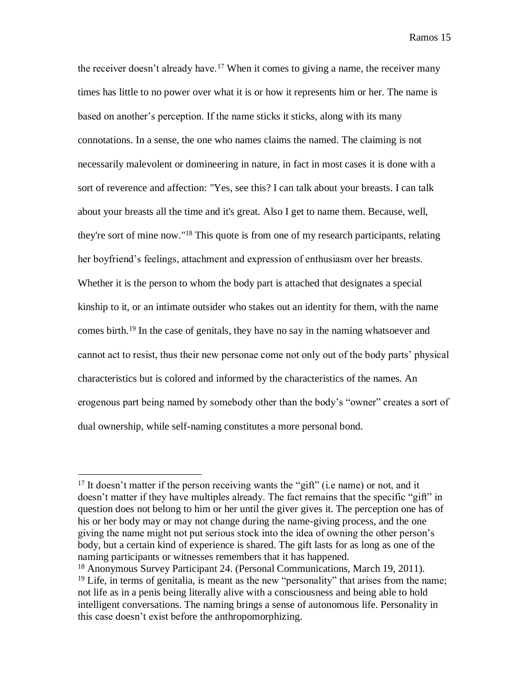the receiver doesn't already have.<sup>17</sup> When it comes to giving a name, the receiver many times has little to no power over what it is or how it represents him or her. The name is based on another's perception. If the name sticks it sticks, along with its many connotations. In a sense, the one who names claims the named. The claiming is not necessarily malevolent or domineering in nature, in fact in most cases it is done with a sort of reverence and affection: "Yes, see this? I can talk about your breasts. I can talk about your breasts all the time and it's great. Also I get to name them. Because, well, they're sort of mine now."<sup>18</sup> This quote is from one of my research participants, relating her boyfriend's feelings, attachment and expression of enthusiasm over her breasts. Whether it is the person to whom the body part is attached that designates a special kinship to it, or an intimate outsider who stakes out an identity for them, with the name comes birth.<sup>19</sup> In the case of genitals, they have no say in the naming whatsoever and cannot act to resist, thus their new personae come not only out of the body parts' physical characteristics but is colored and informed by the characteristics of the names. An erogenous part being named by somebody other than the body's "owner" creates a sort of dual ownership, while self-naming constitutes a more personal bond.

<sup>&</sup>lt;sup>17</sup> It doesn't matter if the person receiving wants the "gift" (i.e name) or not, and it doesn't matter if they have multiples already. The fact remains that the specific "gift" in question does not belong to him or her until the giver gives it. The perception one has of his or her body may or may not change during the name-giving process, and the one giving the name might not put serious stock into the idea of owning the other person's body, but a certain kind of experience is shared. The gift lasts for as long as one of the naming participants or witnesses remembers that it has happened.

<sup>18</sup> Anonymous Survey Participant 24. (Personal Communications, March 19, 2011).  $19$  Life, in terms of genitalia, is meant as the new "personality" that arises from the name; not life as in a penis being literally alive with a consciousness and being able to hold intelligent conversations. The naming brings a sense of autonomous life. Personality in this case doesn't exist before the anthropomorphizing.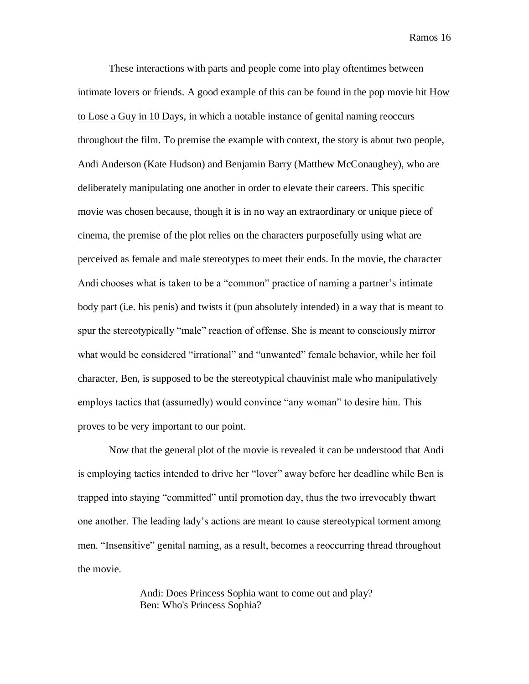These interactions with parts and people come into play oftentimes between intimate lovers or friends. A good example of this can be found in the pop movie hit How to Lose a Guy in 10 Days, in which a notable instance of genital naming reoccurs throughout the film. To premise the example with context, the story is about two people, Andi Anderson (Kate Hudson) and Benjamin Barry (Matthew McConaughey), who are deliberately manipulating one another in order to elevate their careers. This specific movie was chosen because, though it is in no way an extraordinary or unique piece of cinema, the premise of the plot relies on the characters purposefully using what are perceived as female and male stereotypes to meet their ends. In the movie, the character Andi chooses what is taken to be a "common" practice of naming a partner's intimate body part (i.e. his penis) and twists it (pun absolutely intended) in a way that is meant to spur the stereotypically "male" reaction of offense. She is meant to consciously mirror what would be considered "irrational" and "unwanted" female behavior, while her foil character, Ben, is supposed to be the stereotypical chauvinist male who manipulatively employs tactics that (assumedly) would convince "any woman" to desire him. This proves to be very important to our point.

Now that the general plot of the movie is revealed it can be understood that Andi is employing tactics intended to drive her "lover" away before her deadline while Ben is trapped into staying "committed" until promotion day, thus the two irrevocably thwart one another. The leading lady's actions are meant to cause stereotypical torment among men. "Insensitive" genital naming, as a result, becomes a reoccurring thread throughout the movie.

> Andi: Does Princess Sophia want to come out and play? Ben: Who's Princess Sophia?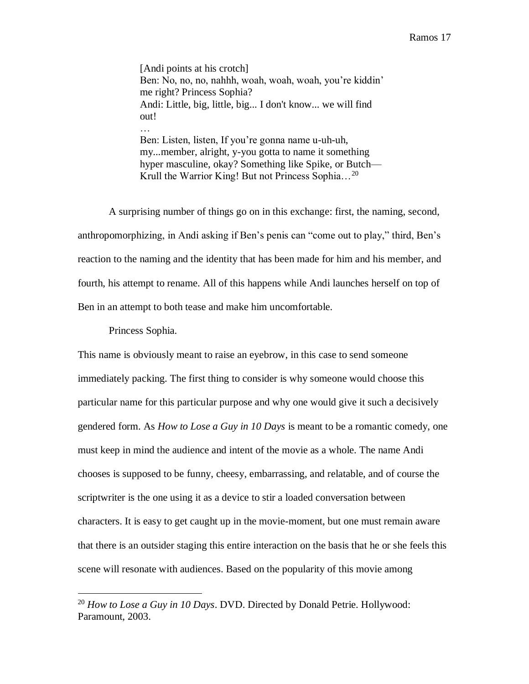[Andi points at his crotch] Ben: No, no, no, nahhh, woah, woah, woah, you're kiddin' me right? Princess Sophia? Andi: Little, big, little, big... I don't know... we will find out! … Ben: Listen, listen, If you're gonna name u-uh-uh, my...member, alright, y-you gotta to name it something hyper masculine, okay? Something like Spike, or Butch— Krull the Warrior King! But not Princess Sophia…<sup>20</sup>

A surprising number of things go on in this exchange: first, the naming, second, anthropomorphizing, in Andi asking if Ben's penis can "come out to play," third, Ben's reaction to the naming and the identity that has been made for him and his member, and fourth, his attempt to rename. All of this happens while Andi launches herself on top of Ben in an attempt to both tease and make him uncomfortable.

Princess Sophia.

 $\overline{a}$ 

This name is obviously meant to raise an eyebrow, in this case to send someone immediately packing. The first thing to consider is why someone would choose this particular name for this particular purpose and why one would give it such a decisively gendered form. As *How to Lose a Guy in 10 Days* is meant to be a romantic comedy, one must keep in mind the audience and intent of the movie as a whole. The name Andi chooses is supposed to be funny, cheesy, embarrassing, and relatable, and of course the scriptwriter is the one using it as a device to stir a loaded conversation between characters. It is easy to get caught up in the movie-moment, but one must remain aware that there is an outsider staging this entire interaction on the basis that he or she feels this scene will resonate with audiences. Based on the popularity of this movie among

<sup>20</sup> *How to Lose a Guy in 10 Days*. DVD. Directed by Donald Petrie. Hollywood: Paramount, 2003.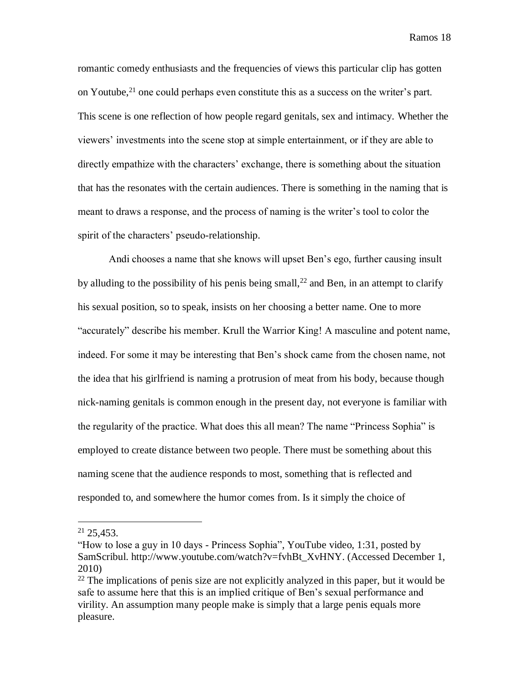romantic comedy enthusiasts and the frequencies of views this particular clip has gotten on Youtube,<sup>21</sup> one could perhaps even constitute this as a success on the writer's part. This scene is one reflection of how people regard genitals, sex and intimacy. Whether the viewers' investments into the scene stop at simple entertainment, or if they are able to directly empathize with the characters' exchange, there is something about the situation that has the resonates with the certain audiences. There is something in the naming that is meant to draws a response, and the process of naming is the writer's tool to color the spirit of the characters' pseudo-relationship.

Andi chooses a name that she knows will upset Ben's ego, further causing insult by alluding to the possibility of his penis being small,<sup>22</sup> and Ben, in an attempt to clarify his sexual position, so to speak, insists on her choosing a better name. One to more "accurately" describe his member. Krull the Warrior King! A masculine and potent name, indeed. For some it may be interesting that Ben's shock came from the chosen name, not the idea that his girlfriend is naming a protrusion of meat from his body, because though nick-naming genitals is common enough in the present day, not everyone is familiar with the regularity of the practice. What does this all mean? The name "Princess Sophia" is employed to create distance between two people. There must be something about this naming scene that the audience responds to most, something that is reflected and responded to, and somewhere the humor comes from. Is it simply the choice of

 $21,25,453$ .

<sup>&</sup>quot;How to lose a guy in 10 days - Princess Sophia", YouTube video, 1:31, posted by SamScribul. http://www.youtube.com/watch?v=fvhBt\_XvHNY. (Accessed December 1, 2010)

<sup>&</sup>lt;sup>22</sup> The implications of penis size are not explicitly analyzed in this paper, but it would be safe to assume here that this is an implied critique of Ben's sexual performance and virility. An assumption many people make is simply that a large penis equals more pleasure.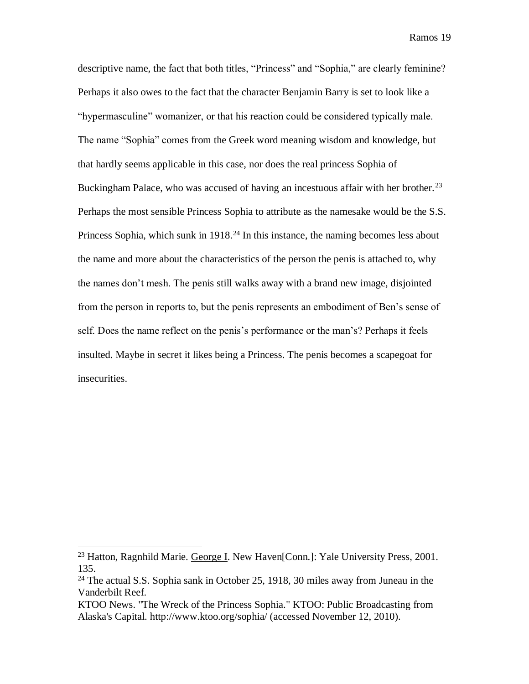descriptive name, the fact that both titles, "Princess" and "Sophia," are clearly feminine? Perhaps it also owes to the fact that the character Benjamin Barry is set to look like a "hypermasculine" womanizer, or that his reaction could be considered typically male. The name "Sophia" comes from the Greek word meaning wisdom and knowledge, but that hardly seems applicable in this case, nor does the real princess Sophia of Buckingham Palace, who was accused of having an incestuous affair with her brother.<sup>23</sup> Perhaps the most sensible Princess Sophia to attribute as the namesake would be the S.S. Princess Sophia, which sunk in  $1918<sup>24</sup>$  In this instance, the naming becomes less about the name and more about the characteristics of the person the penis is attached to, why the names don't mesh. The penis still walks away with a brand new image, disjointed from the person in reports to, but the penis represents an embodiment of Ben's sense of self. Does the name reflect on the penis's performance or the man's? Perhaps it feels insulted. Maybe in secret it likes being a Princess. The penis becomes a scapegoat for insecurities.

<sup>&</sup>lt;sup>23</sup> Hatton, Ragnhild Marie. George I. New Haven[Conn.]: Yale University Press, 2001. 135.

<sup>24</sup> The actual S.S. Sophia sank in October 25, 1918, 30 miles away from Juneau in the Vanderbilt Reef.

KTOO News. "The Wreck of the Princess Sophia." KTOO: Public Broadcasting from Alaska's Capital. http://www.ktoo.org/sophia/ (accessed November 12, 2010).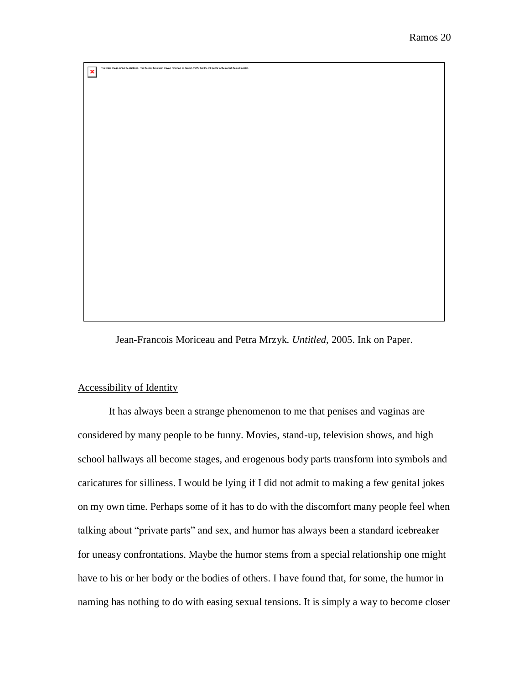Jean-Francois Moriceau and Petra Mrzyk. *Untitled,* 2005. Ink on Paper.

## Accessibility of Identity

 $\pmb{\times}$ 

It has always been a strange phenomenon to me that penises and vaginas are considered by many people to be funny. Movies, stand-up, television shows, and high school hallways all become stages, and erogenous body parts transform into symbols and caricatures for silliness. I would be lying if I did not admit to making a few genital jokes on my own time. Perhaps some of it has to do with the discomfort many people feel when talking about "private parts" and sex, and humor has always been a standard icebreaker for uneasy confrontations. Maybe the humor stems from a special relationship one might have to his or her body or the bodies of others. I have found that, for some, the humor in naming has nothing to do with easing sexual tensions. It is simply a way to become closer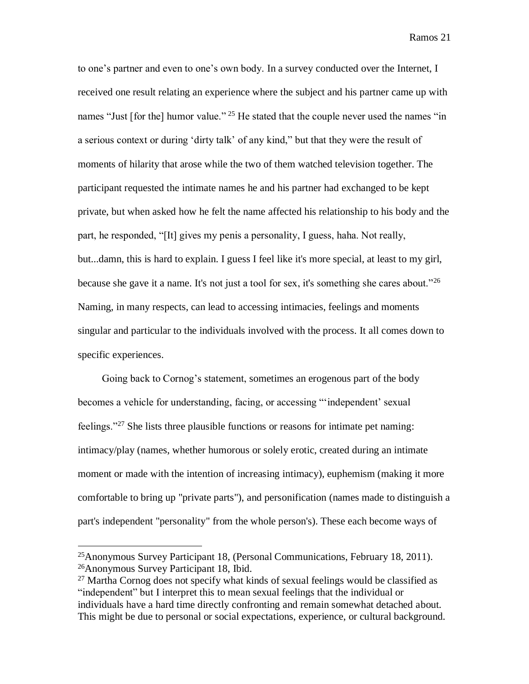to one's partner and even to one's own body. In a survey conducted over the Internet, I received one result relating an experience where the subject and his partner came up with names "Just [for the] humor value." <sup>25</sup> He stated that the couple never used the names "in a serious context or during 'dirty talk' of any kind," but that they were the result of moments of hilarity that arose while the two of them watched television together. The participant requested the intimate names he and his partner had exchanged to be kept private, but when asked how he felt the name affected his relationship to his body and the part, he responded, "[It] gives my penis a personality, I guess, haha. Not really, but...damn, this is hard to explain. I guess I feel like it's more special, at least to my girl, because she gave it a name. It's not just a tool for sex, it's something she cares about."<sup>26</sup> Naming, in many respects, can lead to accessing intimacies, feelings and moments singular and particular to the individuals involved with the process. It all comes down to specific experiences.

Going back to Cornog's statement, sometimes an erogenous part of the body becomes a vehicle for understanding, facing, or accessing "'independent' sexual feelings."<sup>27</sup> She lists three plausible functions or reasons for intimate pet naming: intimacy/play (names, whether humorous or solely erotic, created during an intimate moment or made with the intention of increasing intimacy), euphemism (making it more comfortable to bring up "private parts"), and personification (names made to distinguish a part's independent "personality" from the whole person's). These each become ways of

<sup>&</sup>lt;sup>25</sup>Anonymous Survey Participant 18, (Personal Communications, February 18, 2011). <sup>26</sup>Anonymous Survey Participant 18, Ibid.

 $27$  Martha Cornog does not specify what kinds of sexual feelings would be classified as "independent" but I interpret this to mean sexual feelings that the individual or individuals have a hard time directly confronting and remain somewhat detached about. This might be due to personal or social expectations, experience, or cultural background.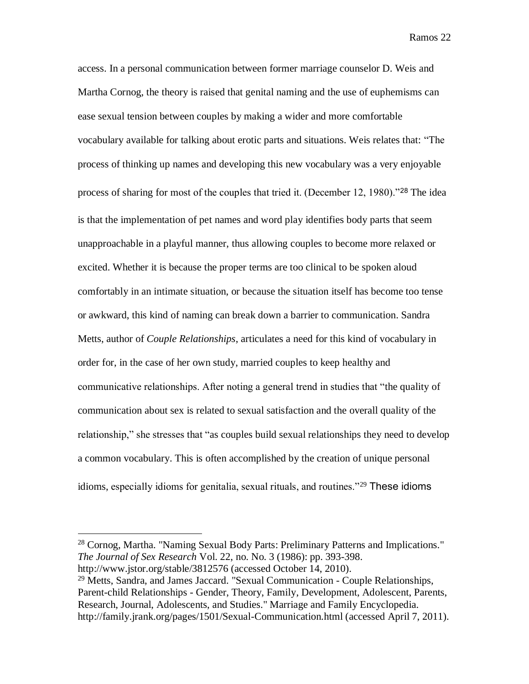access. In a personal communication between former marriage counselor D. Weis and Martha Cornog, the theory is raised that genital naming and the use of euphemisms can ease sexual tension between couples by making a wider and more comfortable vocabulary available for talking about erotic parts and situations. Weis relates that: "The process of thinking up names and developing this new vocabulary was a very enjoyable process of sharing for most of the couples that tried it. (December 12, 1980)."<sup>28</sup> The idea is that the implementation of pet names and word play identifies body parts that seem unapproachable in a playful manner, thus allowing couples to become more relaxed or excited. Whether it is because the proper terms are too clinical to be spoken aloud comfortably in an intimate situation, or because the situation itself has become too tense or awkward, this kind of naming can break down a barrier to communication. Sandra Metts, author of *Couple Relationships*, articulates a need for this kind of vocabulary in order for, in the case of her own study, married couples to keep healthy and communicative relationships. After noting a general trend in studies that "the quality of communication about sex is related to sexual satisfaction and the overall quality of the relationship," she stresses that "as couples build sexual relationships they need to develop a common vocabulary. This is often accomplished by the creation of unique personal idioms, especially idioms for genitalia, sexual rituals, and routines."<sup>29</sup> These idioms

<sup>28</sup> Cornog, Martha. "Naming Sexual Body Parts: Preliminary Patterns and Implications." *The Journal of Sex Research* Vol. 22, no. No. 3 (1986): pp. 393-398.

http://www.jstor.org/stable/3812576 (accessed October 14, 2010).

 $\overline{a}$ 

<sup>29</sup> Metts, Sandra, and James Jaccard. "Sexual Communication - Couple Relationships, Parent-child Relationships - Gender, Theory, Family, Development, Adolescent, Parents, Research, Journal, Adolescents, and Studies." Marriage and Family Encyclopedia. http://family.jrank.org/pages/1501/Sexual-Communication.html (accessed April 7, 2011).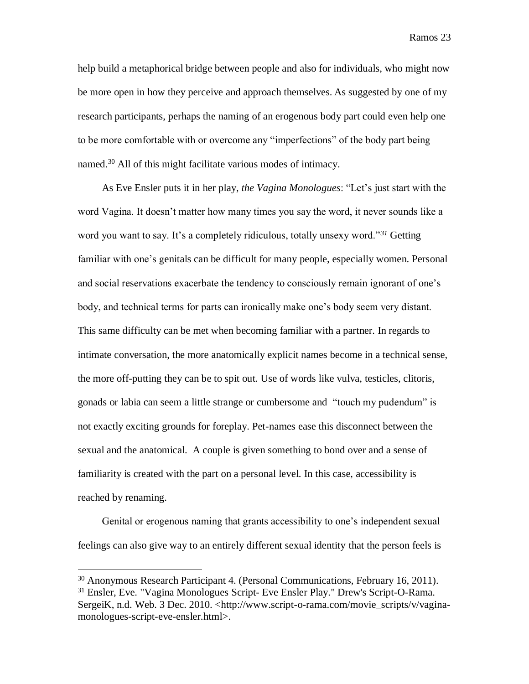help build a metaphorical bridge between people and also for individuals, who might now be more open in how they perceive and approach themselves. As suggested by one of my research participants, perhaps the naming of an erogenous body part could even help one to be more comfortable with or overcome any "imperfections" of the body part being named.<sup>30</sup> All of this might facilitate various modes of intimacy.

As Eve Ensler puts it in her play, *the Vagina Monologues*: "Let's just start with the word Vagina. It doesn't matter how many times you say the word, it never sounds like a word you want to say. It's a completely ridiculous, totally unsexy word."*<sup>31</sup>* Getting familiar with one's genitals can be difficult for many people, especially women. Personal and social reservations exacerbate the tendency to consciously remain ignorant of one's body, and technical terms for parts can ironically make one's body seem very distant. This same difficulty can be met when becoming familiar with a partner. In regards to intimate conversation, the more anatomically explicit names become in a technical sense, the more off-putting they can be to spit out. Use of words like vulva, testicles, clitoris, gonads or labia can seem a little strange or cumbersome and "touch my pudendum" is not exactly exciting grounds for foreplay. Pet-names ease this disconnect between the sexual and the anatomical. A couple is given something to bond over and a sense of familiarity is created with the part on a personal level. In this case, accessibility is reached by renaming.

Genital or erogenous naming that grants accessibility to one's independent sexual feelings can also give way to an entirely different sexual identity that the person feels is

<sup>30</sup> Anonymous Research Participant 4. (Personal Communications, February 16, 2011).

<sup>31</sup> Ensler, Eve. "Vagina Monologues Script- Eve Ensler Play." Drew's Script-O-Rama. SergeiK, n.d. Web. 3 Dec. 2010. <http://www.script-o-rama.com/movie\_scripts/v/vaginamonologues-script-eve-ensler.html>.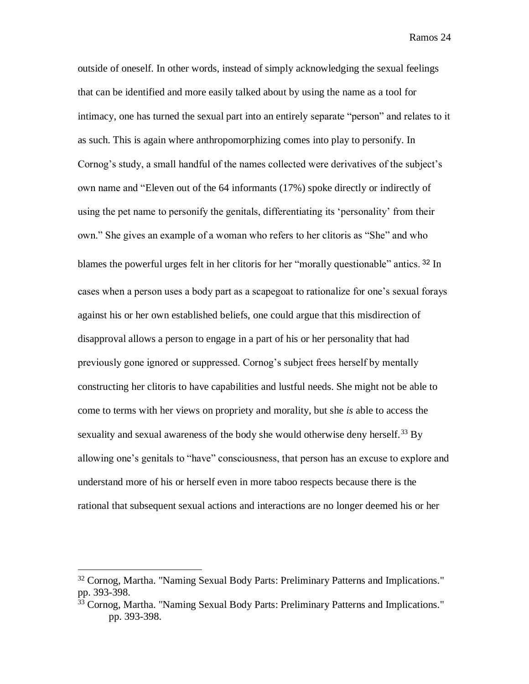outside of oneself. In other words, instead of simply acknowledging the sexual feelings that can be identified and more easily talked about by using the name as a tool for intimacy, one has turned the sexual part into an entirely separate "person" and relates to it as such. This is again where anthropomorphizing comes into play to personify. In Cornog's study, a small handful of the names collected were derivatives of the subject's own name and "Eleven out of the 64 informants (17%) spoke directly or indirectly of using the pet name to personify the genitals, differentiating its 'personality' from their own." She gives an example of a woman who refers to her clitoris as "She" and who blames the powerful urges felt in her clitoris for her "morally questionable" antics. <sup>32</sup> In cases when a person uses a body part as a scapegoat to rationalize for one's sexual forays against his or her own established beliefs, one could argue that this misdirection of disapproval allows a person to engage in a part of his or her personality that had previously gone ignored or suppressed. Cornog's subject frees herself by mentally constructing her clitoris to have capabilities and lustful needs. She might not be able to come to terms with her views on propriety and morality, but she *is* able to access the sexuality and sexual awareness of the body she would otherwise deny herself.<sup>33</sup> By allowing one's genitals to "have" consciousness, that person has an excuse to explore and understand more of his or herself even in more taboo respects because there is the rational that subsequent sexual actions and interactions are no longer deemed his or her

<sup>32</sup> Cornog, Martha. "Naming Sexual Body Parts: Preliminary Patterns and Implications." pp. 393-398.

<sup>33</sup> Cornog, Martha. "Naming Sexual Body Parts: Preliminary Patterns and Implications." pp. 393-398.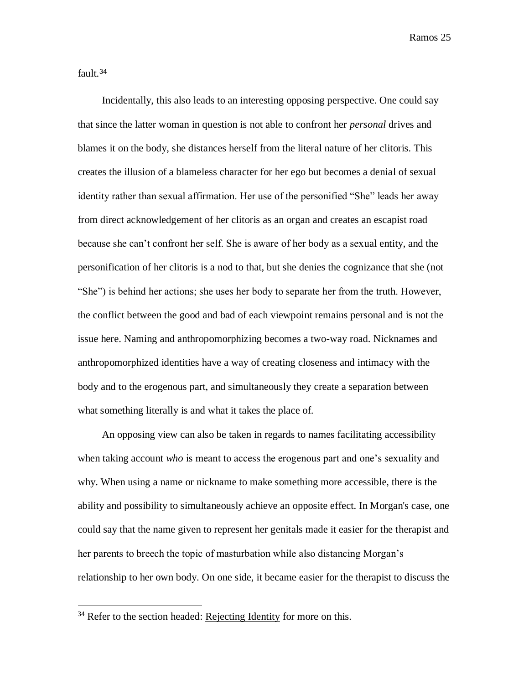fault.<sup>34</sup>

 $\overline{a}$ 

Incidentally, this also leads to an interesting opposing perspective. One could say that since the latter woman in question is not able to confront her *personal* drives and blames it on the body, she distances herself from the literal nature of her clitoris. This creates the illusion of a blameless character for her ego but becomes a denial of sexual identity rather than sexual affirmation. Her use of the personified "She" leads her away from direct acknowledgement of her clitoris as an organ and creates an escapist road because she can't confront her self. She is aware of her body as a sexual entity, and the personification of her clitoris is a nod to that, but she denies the cognizance that she (not "She") is behind her actions; she uses her body to separate her from the truth. However, the conflict between the good and bad of each viewpoint remains personal and is not the issue here. Naming and anthropomorphizing becomes a two-way road. Nicknames and anthropomorphized identities have a way of creating closeness and intimacy with the body and to the erogenous part, and simultaneously they create a separation between what something literally is and what it takes the place of.

An opposing view can also be taken in regards to names facilitating accessibility when taking account *who* is meant to access the erogenous part and one's sexuality and why. When using a name or nickname to make something more accessible, there is the ability and possibility to simultaneously achieve an opposite effect. In Morgan's case, one could say that the name given to represent her genitals made it easier for the therapist and her parents to breech the topic of masturbation while also distancing Morgan's relationship to her own body. On one side, it became easier for the therapist to discuss the

 $34$  Refer to the section headed: Rejecting Identity for more on this.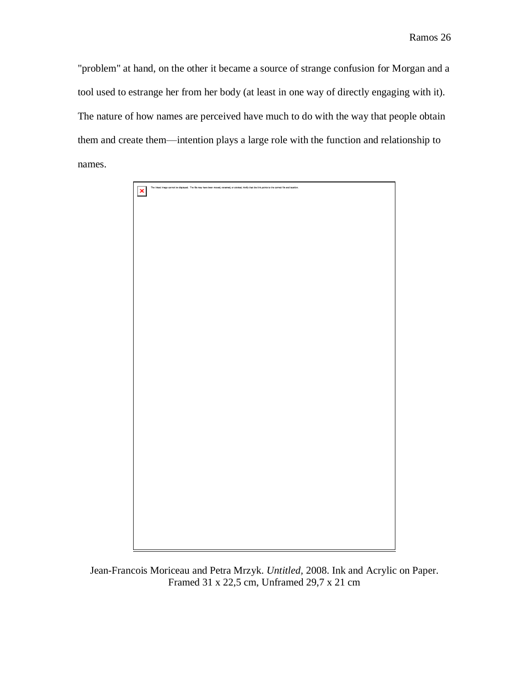"problem" at hand, on the other it became a source of strange confusion for Morgan and a tool used to estrange her from her body (at least in one way of directly engaging with it). The nature of how names are perceived have much to do with the way that people obtain them and create them—intention plays a large role with the function and relationship to names.



Jean-Francois Moriceau and Petra Mrzyk. *Untitled,* 2008. Ink and Acrylic on Paper. Framed 31 x 22,5 cm, Unframed 29,7 x 21 cm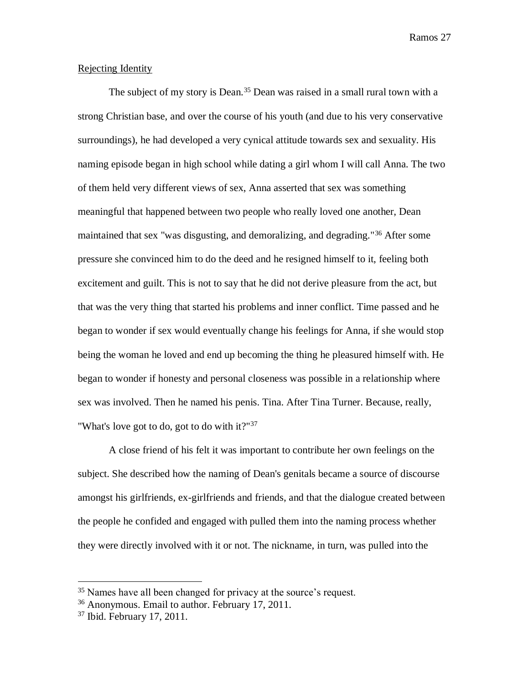## Rejecting Identity

The subject of my story is Dean.<sup>35</sup> Dean was raised in a small rural town with a strong Christian base, and over the course of his youth (and due to his very conservative surroundings), he had developed a very cynical attitude towards sex and sexuality. His naming episode began in high school while dating a girl whom I will call Anna. The two of them held very different views of sex, Anna asserted that sex was something meaningful that happened between two people who really loved one another, Dean maintained that sex "was disgusting, and demoralizing, and degrading."<sup>36</sup> After some pressure she convinced him to do the deed and he resigned himself to it, feeling both excitement and guilt. This is not to say that he did not derive pleasure from the act, but that was the very thing that started his problems and inner conflict. Time passed and he began to wonder if sex would eventually change his feelings for Anna, if she would stop being the woman he loved and end up becoming the thing he pleasured himself with. He began to wonder if honesty and personal closeness was possible in a relationship where sex was involved. Then he named his penis. Tina. After Tina Turner. Because, really, "What's love got to do, got to do with it?"<sup>37</sup>

A close friend of his felt it was important to contribute her own feelings on the subject. She described how the naming of Dean's genitals became a source of discourse amongst his girlfriends, ex-girlfriends and friends, and that the dialogue created between the people he confided and engaged with pulled them into the naming process whether they were directly involved with it or not. The nickname, in turn, was pulled into the

<sup>&</sup>lt;sup>35</sup> Names have all been changed for privacy at the source's request.

<sup>36</sup> Anonymous. Email to author. February 17, 2011.

<sup>37</sup> Ibid. February 17, 2011.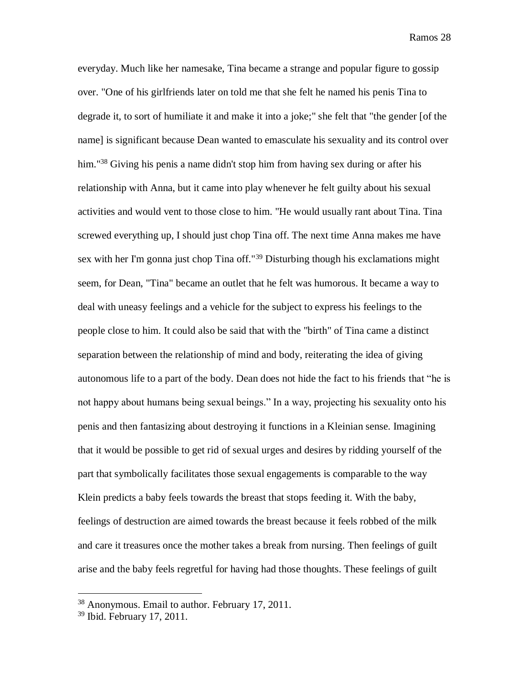everyday. Much like her namesake, Tina became a strange and popular figure to gossip over. "One of his girlfriends later on told me that she felt he named his penis Tina to degrade it, to sort of humiliate it and make it into a joke;" she felt that "the gender [of the name] is significant because Dean wanted to emasculate his sexuality and its control over him."<sup>38</sup> Giving his penis a name didn't stop him from having sex during or after his relationship with Anna, but it came into play whenever he felt guilty about his sexual activities and would vent to those close to him. "He would usually rant about Tina. Tina screwed everything up, I should just chop Tina off. The next time Anna makes me have sex with her I'm gonna just chop Tina off."<sup>39</sup> Disturbing though his exclamations might seem, for Dean, "Tina" became an outlet that he felt was humorous. It became a way to deal with uneasy feelings and a vehicle for the subject to express his feelings to the people close to him. It could also be said that with the "birth" of Tina came a distinct separation between the relationship of mind and body, reiterating the idea of giving autonomous life to a part of the body. Dean does not hide the fact to his friends that "he is not happy about humans being sexual beings." In a way, projecting his sexuality onto his penis and then fantasizing about destroying it functions in a Kleinian sense. Imagining that it would be possible to get rid of sexual urges and desires by ridding yourself of the part that symbolically facilitates those sexual engagements is comparable to the way Klein predicts a baby feels towards the breast that stops feeding it. With the baby, feelings of destruction are aimed towards the breast because it feels robbed of the milk and care it treasures once the mother takes a break from nursing. Then feelings of guilt arise and the baby feels regretful for having had those thoughts. These feelings of guilt

<sup>38</sup> Anonymous. Email to author. February 17, 2011.

<sup>39</sup> Ibid. February 17, 2011.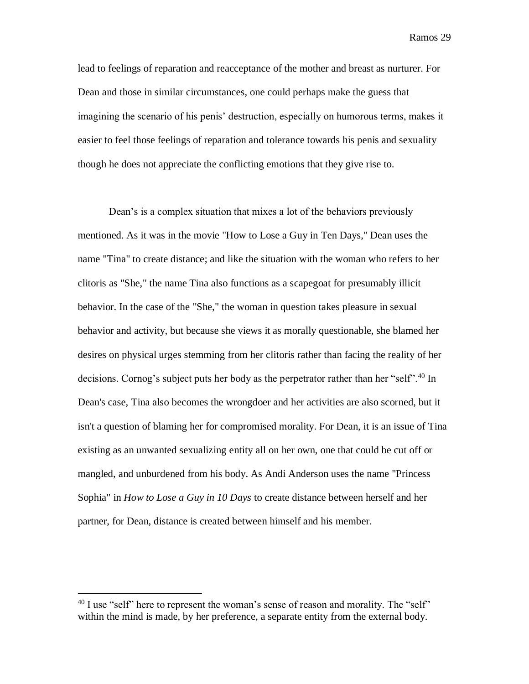lead to feelings of reparation and reacceptance of the mother and breast as nurturer. For Dean and those in similar circumstances, one could perhaps make the guess that imagining the scenario of his penis' destruction, especially on humorous terms, makes it easier to feel those feelings of reparation and tolerance towards his penis and sexuality though he does not appreciate the conflicting emotions that they give rise to.

Dean's is a complex situation that mixes a lot of the behaviors previously mentioned. As it was in the movie "How to Lose a Guy in Ten Days," Dean uses the name "Tina" to create distance; and like the situation with the woman who refers to her clitoris as "She," the name Tina also functions as a scapegoat for presumably illicit behavior. In the case of the "She," the woman in question takes pleasure in sexual behavior and activity, but because she views it as morally questionable, she blamed her desires on physical urges stemming from her clitoris rather than facing the reality of her decisions. Cornog's subject puts her body as the perpetrator rather than her "self".<sup>40</sup> In Dean's case, Tina also becomes the wrongdoer and her activities are also scorned, but it isn't a question of blaming her for compromised morality. For Dean, it is an issue of Tina existing as an unwanted sexualizing entity all on her own, one that could be cut off or mangled, and unburdened from his body. As Andi Anderson uses the name "Princess Sophia" in *How to Lose a Guy in 10 Days* to create distance between herself and her partner, for Dean, distance is created between himself and his member.

<sup>&</sup>lt;sup>40</sup> I use "self" here to represent the woman's sense of reason and morality. The "self" within the mind is made, by her preference, a separate entity from the external body.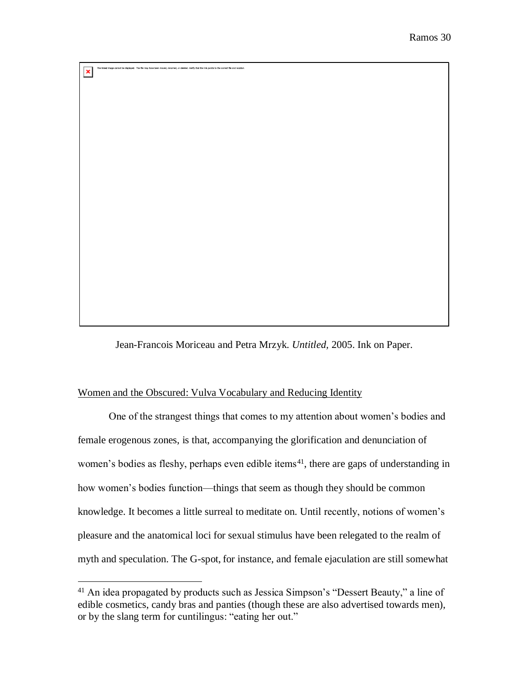Jean-Francois Moriceau and Petra Mrzyk. *Untitled,* 2005. Ink on Paper.

### Women and the Obscured: Vulva Vocabulary and Reducing Identity

.<br>It be displayed. The file may have been moved, renamed, or deleted. Verify that the link points to the correct file and locatio

 $\pmb{\times}$ 

 $\overline{a}$ 

One of the strangest things that comes to my attention about women's bodies and female erogenous zones, is that, accompanying the glorification and denunciation of women's bodies as fleshy, perhaps even edible items<sup>41</sup>, there are gaps of understanding in how women's bodies function—things that seem as though they should be common knowledge. It becomes a little surreal to meditate on. Until recently, notions of women's pleasure and the anatomical loci for sexual stimulus have been relegated to the realm of myth and speculation. The G-spot, for instance, and female ejaculation are still somewhat

 $41$  An idea propagated by products such as Jessica Simpson's "Dessert Beauty," a line of edible cosmetics, candy bras and panties (though these are also advertised towards men), or by the slang term for cuntilingus: "eating her out."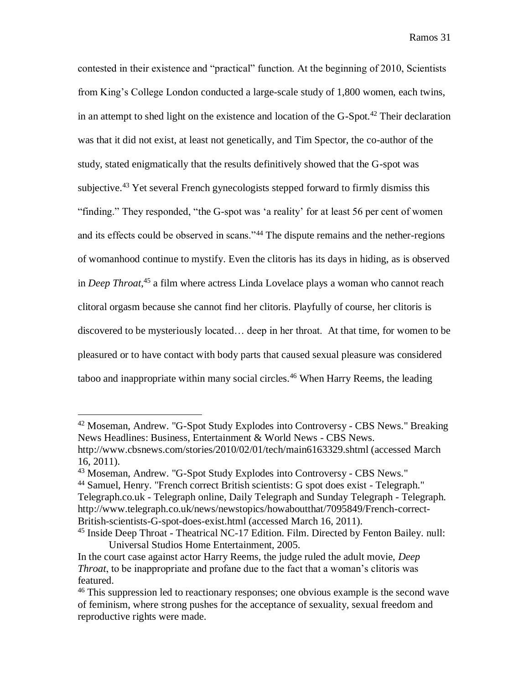contested in their existence and "practical" function. At the beginning of 2010, Scientists from King's College London conducted a large-scale study of 1,800 women, each twins, in an attempt to shed light on the existence and location of the  $G$ -Spot.<sup>42</sup> Their declaration was that it did not exist, at least not genetically, and Tim Spector, the co-author of the study, stated enigmatically that the results definitively showed that the G-spot was subjective.<sup>43</sup> Yet several French gynecologists stepped forward to firmly dismiss this "finding." They responded, "the G-spot was 'a reality' for at least 56 per cent of women and its effects could be observed in scans."<sup>44</sup> The dispute remains and the nether-regions of womanhood continue to mystify. Even the clitoris has its days in hiding, as is observed in *Deep Throat*, <sup>45</sup> a film where actress Linda Lovelace plays a woman who cannot reach clitoral orgasm because she cannot find her clitoris. Playfully of course, her clitoris is discovered to be mysteriously located… deep in her throat. At that time, for women to be pleasured or to have contact with body parts that caused sexual pleasure was considered taboo and inappropriate within many social circles.<sup>46</sup> When Harry Reems, the leading

<sup>42</sup> Moseman, Andrew. "G-Spot Study Explodes into Controversy - CBS News." Breaking News Headlines: Business, Entertainment & World News - CBS News. http://www.cbsnews.com/stories/2010/02/01/tech/main6163329.shtml (accessed March 16, 2011).

<sup>43</sup> Moseman, Andrew. "G-Spot Study Explodes into Controversy - CBS News."

<sup>44</sup> Samuel, Henry. "French correct British scientists: G spot does exist - Telegraph." Telegraph.co.uk - Telegraph online, Daily Telegraph and Sunday Telegraph - Telegraph. http://www.telegraph.co.uk/news/newstopics/howaboutthat/7095849/French-correct-British-scientists-G-spot-does-exist.html (accessed March 16, 2011).

<sup>45</sup> Inside Deep Throat - Theatrical NC-17 Edition. Film. Directed by Fenton Bailey. null: Universal Studios Home Entertainment, 2005.

In the court case against actor Harry Reems, the judge ruled the adult movie, *Deep Throat*, to be inappropriate and profane due to the fact that a woman's clitoris was featured.

<sup>&</sup>lt;sup>46</sup> This suppression led to reactionary responses; one obvious example is the second wave of feminism, where strong pushes for the acceptance of sexuality, sexual freedom and reproductive rights were made.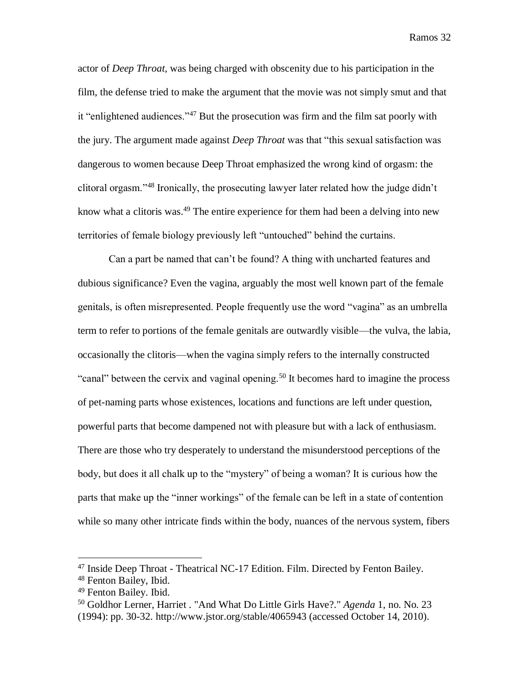actor of *Deep Throat,* was being charged with obscenity due to his participation in the film, the defense tried to make the argument that the movie was not simply smut and that it "enlightened audiences."<sup>47</sup> But the prosecution was firm and the film sat poorly with the jury. The argument made against *Deep Throat* was that "this sexual satisfaction was dangerous to women because Deep Throat emphasized the wrong kind of orgasm: the clitoral orgasm."<sup>48</sup> Ironically, the prosecuting lawyer later related how the judge didn't know what a clitoris was.<sup>49</sup> The entire experience for them had been a delving into new territories of female biology previously left "untouched" behind the curtains.

Can a part be named that can't be found? A thing with uncharted features and dubious significance? Even the vagina, arguably the most well known part of the female genitals, is often misrepresented. People frequently use the word "vagina" as an umbrella term to refer to portions of the female genitals are outwardly visible—the vulva, the labia, occasionally the clitoris—when the vagina simply refers to the internally constructed "canal" between the cervix and vaginal opening.<sup>50</sup> It becomes hard to imagine the process of pet-naming parts whose existences, locations and functions are left under question, powerful parts that become dampened not with pleasure but with a lack of enthusiasm. There are those who try desperately to understand the misunderstood perceptions of the body, but does it all chalk up to the "mystery" of being a woman? It is curious how the parts that make up the "inner workings" of the female can be left in a state of contention while so many other intricate finds within the body, nuances of the nervous system, fibers

<sup>&</sup>lt;sup>47</sup> Inside Deep Throat - Theatrical NC-17 Edition. Film. Directed by Fenton Bailey.

<sup>48</sup> Fenton Bailey, Ibid.

<sup>&</sup>lt;sup>49</sup> Fenton Bailey. Ibid.

<sup>50</sup> Goldhor Lerner, Harriet . "And What Do Little Girls Have?." *Agenda* 1, no. No. 23 (1994): pp. 30-32. http://www.jstor.org/stable/4065943 (accessed October 14, 2010).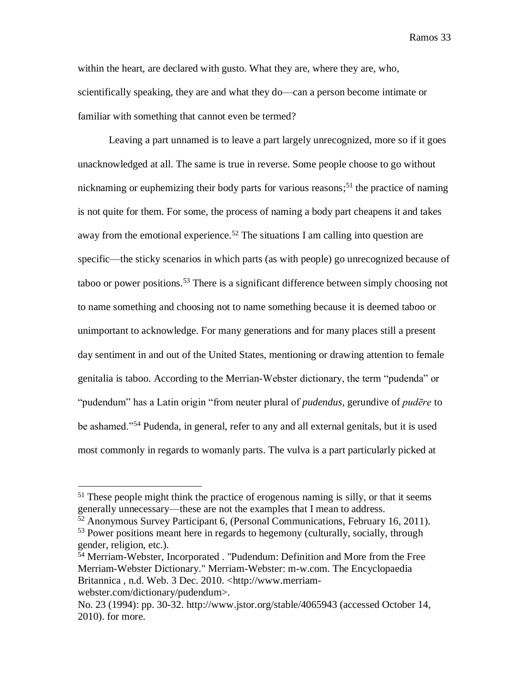within the heart, are declared with gusto. What they are, where they are, who, scientifically speaking, they are and what they do—can a person become intimate or familiar with something that cannot even be termed?

Leaving a part unnamed is to leave a part largely unrecognized, more so if it goes unacknowledged at all. The same is true in reverse. Some people choose to go without nicknaming or euphemizing their body parts for various reasons; <sup>51</sup> the practice of naming is not quite for them. For some, the process of naming a body part cheapens it and takes away from the emotional experience.<sup>52</sup> The situations I am calling into question are specific—the sticky scenarios in which parts (as with people) go unrecognized because of taboo or power positions.<sup>53</sup> There is a significant difference between simply choosing not to name something and choosing not to name something because it is deemed taboo or unimportant to acknowledge. For many generations and for many places still a present day sentiment in and out of the United States, mentioning or drawing attention to female genitalia is taboo. According to the Merrian-Webster dictionary, the term "pudenda" or "pudendum" has a Latin origin "from neuter plural of *pudendus*, gerundive of *pudēre* to be ashamed."<sup>54</sup> Pudenda, in general, refer to any and all external genitals, but it is used most commonly in regards to womanly parts. The vulva is a part particularly picked at

 $51$  These people might think the practice of erogenous naming is silly, or that it seems generally unnecessary—these are not the examples that I mean to address.

<sup>52</sup> Anonymous Survey Participant 6, (Personal Communications, February 16, 2011). <sup>53</sup> Power positions meant here in regards to hegemony (culturally, socially, through

gender, religion, etc.).

<sup>54</sup> Merriam-Webster, Incorporated . "Pudendum: Definition and More from the Free Merriam-Webster Dictionary." Merriam-Webster: m-w.com. The Encyclopaedia Britannica, n.d. Web. 3 Dec. 2010. <http://www.merriamwebster.com/dictionary/pudendum>.

No. 23 (1994): pp. 30-32. http://www.jstor.org/stable/4065943 (accessed October 14, 2010). for more.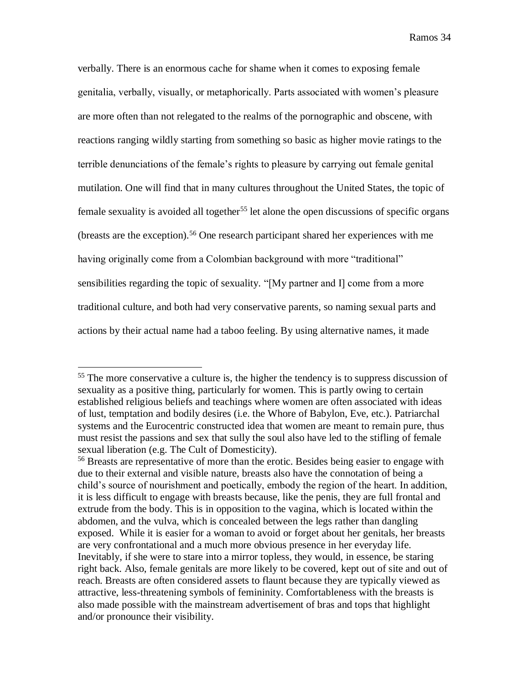verbally. There is an enormous cache for shame when it comes to exposing female genitalia, verbally, visually, or metaphorically. Parts associated with women's pleasure are more often than not relegated to the realms of the pornographic and obscene, with reactions ranging wildly starting from something so basic as higher movie ratings to the terrible denunciations of the female's rights to pleasure by carrying out female genital mutilation. One will find that in many cultures throughout the United States, the topic of female sexuality is avoided all together<sup>55</sup> let alone the open discussions of specific organs (breasts are the exception).<sup>56</sup> One research participant shared her experiences with me having originally come from a Colombian background with more "traditional" sensibilities regarding the topic of sexuality. "[My partner and I] come from a more traditional culture, and both had very conservative parents, so naming sexual parts and actions by their actual name had a taboo feeling. By using alternative names, it made

<sup>55</sup> The more conservative a culture is, the higher the tendency is to suppress discussion of sexuality as a positive thing, particularly for women. This is partly owing to certain established religious beliefs and teachings where women are often associated with ideas of lust, temptation and bodily desires (i.e. the Whore of Babylon, Eve, etc.). Patriarchal systems and the Eurocentric constructed idea that women are meant to remain pure, thus must resist the passions and sex that sully the soul also have led to the stifling of female sexual liberation (e.g. The Cult of Domesticity).

<sup>&</sup>lt;sup>56</sup> Breasts are representative of more than the erotic. Besides being easier to engage with due to their external and visible nature, breasts also have the connotation of being a child's source of nourishment and poetically, embody the region of the heart. In addition, it is less difficult to engage with breasts because, like the penis, they are full frontal and extrude from the body. This is in opposition to the vagina, which is located within the abdomen, and the vulva, which is concealed between the legs rather than dangling exposed. While it is easier for a woman to avoid or forget about her genitals, her breasts are very confrontational and a much more obvious presence in her everyday life. Inevitably, if she were to stare into a mirror topless, they would, in essence, be staring right back. Also, female genitals are more likely to be covered, kept out of site and out of reach. Breasts are often considered assets to flaunt because they are typically viewed as attractive, less-threatening symbols of femininity. Comfortableness with the breasts is also made possible with the mainstream advertisement of bras and tops that highlight and/or pronounce their visibility.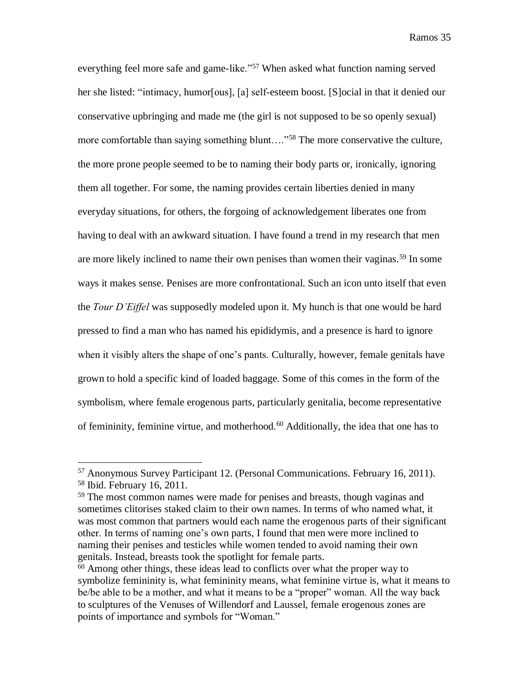everything feel more safe and game-like."<sup>57</sup> When asked what function naming served her she listed: "intimacy, humor[ous], [a] self-esteem boost. [S]ocial in that it denied our conservative upbringing and made me (the girl is not supposed to be so openly sexual) more comfortable than saying something blunt...."<sup>58</sup> The more conservative the culture, the more prone people seemed to be to naming their body parts or, ironically, ignoring them all together. For some, the naming provides certain liberties denied in many everyday situations, for others, the forgoing of acknowledgement liberates one from having to deal with an awkward situation. I have found a trend in my research that men are more likely inclined to name their own penises than women their vaginas.<sup>59</sup> In some ways it makes sense. Penises are more confrontational. Such an icon unto itself that even the *Tour D'Eiffel* was supposedly modeled upon it. My hunch is that one would be hard pressed to find a man who has named his epididymis, and a presence is hard to ignore when it visibly alters the shape of one's pants. Culturally, however, female genitals have grown to hold a specific kind of loaded baggage. Some of this comes in the form of the symbolism, where female erogenous parts, particularly genitalia, become representative of femininity, feminine virtue, and motherhood.<sup>60</sup> Additionally, the idea that one has to

<sup>57</sup> Anonymous Survey Participant 12. (Personal Communications. February 16, 2011). <sup>58</sup> Ibid. February 16, 2011.

<sup>59</sup> The most common names were made for penises and breasts, though vaginas and sometimes clitorises staked claim to their own names. In terms of who named what, it was most common that partners would each name the erogenous parts of their significant other. In terms of naming one's own parts, I found that men were more inclined to naming their penises and testicles while women tended to avoid naming their own genitals. Instead, breasts took the spotlight for female parts.

 $60$  Among other things, these ideas lead to conflicts over what the proper way to symbolize femininity is, what femininity means, what feminine virtue is, what it means to be/be able to be a mother, and what it means to be a "proper" woman. All the way back to sculptures of the Venuses of Willendorf and Laussel, female erogenous zones are points of importance and symbols for "Woman."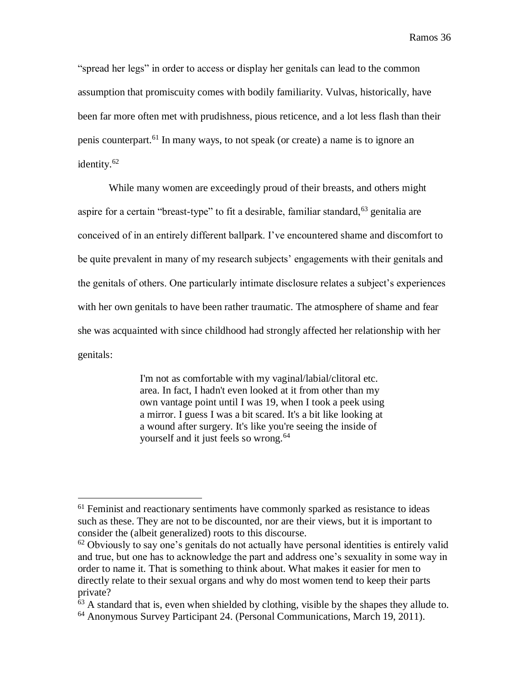"spread her legs" in order to access or display her genitals can lead to the common assumption that promiscuity comes with bodily familiarity. Vulvas, historically, have been far more often met with prudishness, pious reticence, and a lot less flash than their penis counterpart.<sup>61</sup> In many ways, to not speak (or create) a name is to ignore an identity.<sup>62</sup>

While many women are exceedingly proud of their breasts, and others might aspire for a certain "breast-type" to fit a desirable, familiar standard,  $63$  genitalia are conceived of in an entirely different ballpark. I've encountered shame and discomfort to be quite prevalent in many of my research subjects' engagements with their genitals and the genitals of others. One particularly intimate disclosure relates a subject's experiences with her own genitals to have been rather traumatic. The atmosphere of shame and fear she was acquainted with since childhood had strongly affected her relationship with her genitals:

> I'm not as comfortable with my vaginal/labial/clitoral etc. area. In fact, I hadn't even looked at it from other than my own vantage point until I was 19, when I took a peek using a mirror. I guess I was a bit scared. It's a bit like looking at a wound after surgery. It's like you're seeing the inside of yourself and it just feels so wrong.<sup>64</sup>

<sup>&</sup>lt;sup>61</sup> Feminist and reactionary sentiments have commonly sparked as resistance to ideas such as these. They are not to be discounted, nor are their views, but it is important to consider the (albeit generalized) roots to this discourse.

 $62$  Obviously to say one's genitals do not actually have personal identities is entirely valid and true, but one has to acknowledge the part and address one's sexuality in some way in order to name it. That is something to think about. What makes it easier for men to directly relate to their sexual organs and why do most women tend to keep their parts private?

<sup>63</sup> A standard that is, even when shielded by clothing, visible by the shapes they allude to. <sup>64</sup> Anonymous Survey Participant 24. (Personal Communications, March 19, 2011).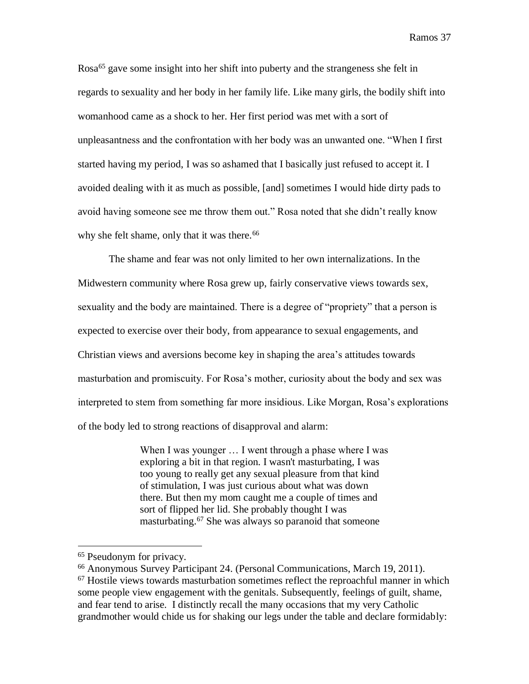Rosa<sup>65</sup> gave some insight into her shift into puberty and the strangeness she felt in regards to sexuality and her body in her family life. Like many girls, the bodily shift into womanhood came as a shock to her. Her first period was met with a sort of unpleasantness and the confrontation with her body was an unwanted one. "When I first started having my period, I was so ashamed that I basically just refused to accept it. I avoided dealing with it as much as possible, [and] sometimes I would hide dirty pads to avoid having someone see me throw them out." Rosa noted that she didn't really know why she felt shame, only that it was there.<sup>66</sup>

The shame and fear was not only limited to her own internalizations. In the Midwestern community where Rosa grew up, fairly conservative views towards sex, sexuality and the body are maintained. There is a degree of "propriety" that a person is expected to exercise over their body, from appearance to sexual engagements, and Christian views and aversions become key in shaping the area's attitudes towards masturbation and promiscuity. For Rosa's mother, curiosity about the body and sex was interpreted to stem from something far more insidious. Like Morgan, Rosa's explorations of the body led to strong reactions of disapproval and alarm:

> When I was younger ... I went through a phase where I was exploring a bit in that region. I wasn't masturbating, I was too young to really get any sexual pleasure from that kind of stimulation, I was just curious about what was down there. But then my mom caught me a couple of times and sort of flipped her lid. She probably thought I was masturbating.<sup>67</sup> She was always so paranoid that someone

<sup>65</sup> Pseudonym for privacy.

<sup>66</sup> Anonymous Survey Participant 24. (Personal Communications, March 19, 2011).  $67$  Hostile views towards masturbation sometimes reflect the reproachful manner in which some people view engagement with the genitals. Subsequently, feelings of guilt, shame, and fear tend to arise. I distinctly recall the many occasions that my very Catholic grandmother would chide us for shaking our legs under the table and declare formidably: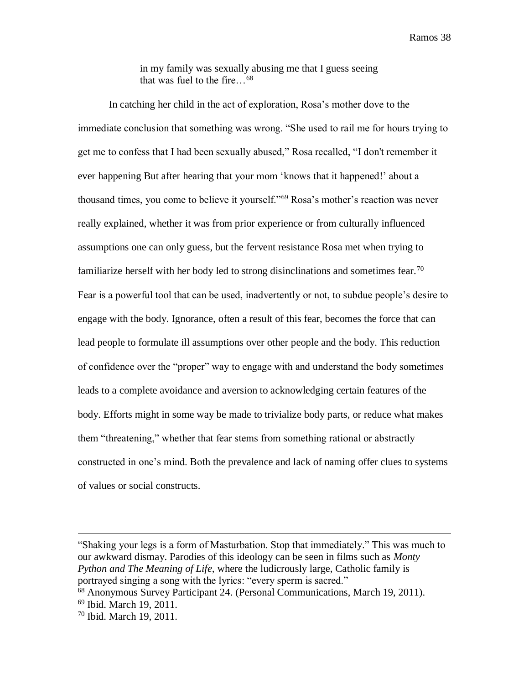in my family was sexually abusing me that I guess seeing that was fuel to the fire  $68$ 

In catching her child in the act of exploration, Rosa's mother dove to the immediate conclusion that something was wrong. "She used to rail me for hours trying to get me to confess that I had been sexually abused," Rosa recalled, "I don't remember it ever happening But after hearing that your mom 'knows that it happened!' about a thousand times, you come to believe it yourself."<sup>69</sup> Rosa's mother's reaction was never really explained, whether it was from prior experience or from culturally influenced assumptions one can only guess, but the fervent resistance Rosa met when trying to familiarize herself with her body led to strong disinclinations and sometimes fear.<sup>70</sup> Fear is a powerful tool that can be used, inadvertently or not, to subdue people's desire to engage with the body. Ignorance, often a result of this fear, becomes the force that can lead people to formulate ill assumptions over other people and the body. This reduction of confidence over the "proper" way to engage with and understand the body sometimes leads to a complete avoidance and aversion to acknowledging certain features of the body. Efforts might in some way be made to trivialize body parts, or reduce what makes them "threatening," whether that fear stems from something rational or abstractly constructed in one's mind. Both the prevalence and lack of naming offer clues to systems of values or social constructs.

<sup>&</sup>quot;Shaking your legs is a form of Masturbation. Stop that immediately." This was much to our awkward dismay. Parodies of this ideology can be seen in films such as *Monty Python and The Meaning of Life,* where the ludicrously large, Catholic family is portrayed singing a song with the lyrics: "every sperm is sacred."

<sup>68</sup> Anonymous Survey Participant 24. (Personal Communications, March 19, 2011).

<sup>69</sup> Ibid. March 19, 2011.

<sup>70</sup> Ibid. March 19, 2011.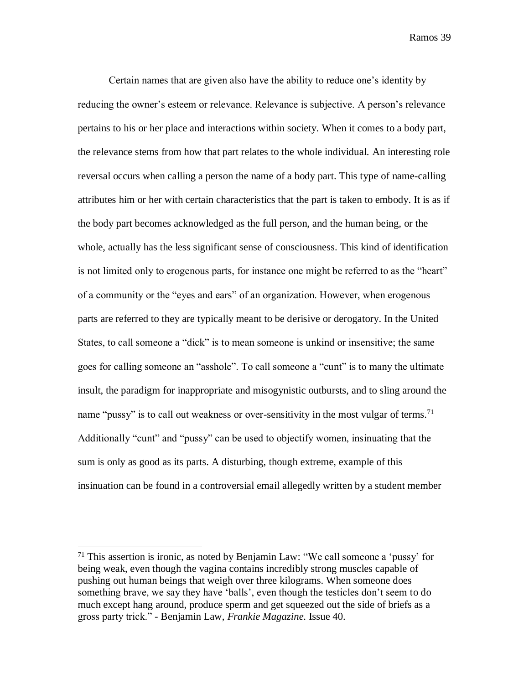Certain names that are given also have the ability to reduce one's identity by reducing the owner's esteem or relevance. Relevance is subjective. A person's relevance pertains to his or her place and interactions within society. When it comes to a body part, the relevance stems from how that part relates to the whole individual. An interesting role reversal occurs when calling a person the name of a body part. This type of name-calling attributes him or her with certain characteristics that the part is taken to embody. It is as if the body part becomes acknowledged as the full person, and the human being, or the whole, actually has the less significant sense of consciousness. This kind of identification is not limited only to erogenous parts, for instance one might be referred to as the "heart" of a community or the "eyes and ears" of an organization. However, when erogenous parts are referred to they are typically meant to be derisive or derogatory. In the United States, to call someone a "dick" is to mean someone is unkind or insensitive; the same goes for calling someone an "asshole". To call someone a "cunt" is to many the ultimate insult, the paradigm for inappropriate and misogynistic outbursts, and to sling around the name "pussy" is to call out weakness or over-sensitivity in the most vulgar of terms.<sup>71</sup> Additionally "cunt" and "pussy" can be used to objectify women, insinuating that the sum is only as good as its parts. A disturbing, though extreme, example of this insinuation can be found in a controversial email allegedly written by a student member

<sup>71</sup> This assertion is ironic, as noted by Benjamin Law: "We call someone a 'pussy' for being weak, even though the vagina contains incredibly strong muscles capable of pushing out human beings that weigh over three kilograms. When someone does something brave, we say they have 'balls', even though the testicles don't seem to do much except hang around, produce sperm and get squeezed out the side of briefs as a gross party trick." - Benjamin Law, *Frankie Magazine.* Issue 40.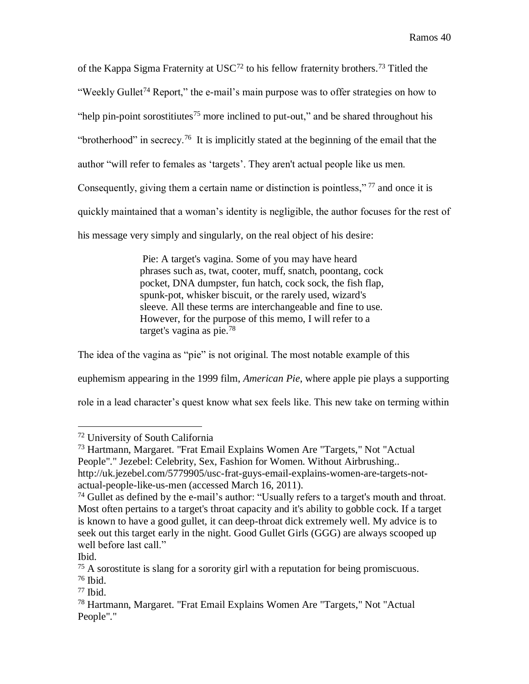of the Kappa Sigma Fraternity at USC<sup>72</sup> to his fellow fraternity brothers.<sup>73</sup> Titled the "Weekly Gullet<sup>74</sup> Report," the e-mail's main purpose was to offer strategies on how to "help pin-point sorostitiutes<sup>75</sup> more inclined to put-out," and be shared throughout his "brotherhood" in secrecy.<sup>76</sup> It is implicitly stated at the beginning of the email that the author "will refer to females as 'targets'. They aren't actual people like us men. Consequently, giving them a certain name or distinction is pointless," <sup>77</sup> and once it is quickly maintained that a woman's identity is negligible, the author focuses for the rest of his message very simply and singularly, on the real object of his desire:

> Pie: A target's vagina. Some of you may have heard phrases such as, twat, cooter, muff, snatch, poontang, cock pocket, DNA dumpster, fun hatch, cock sock, the fish flap, spunk-pot, whisker biscuit, or the rarely used, wizard's sleeve. All these terms are interchangeable and fine to use. However, for the purpose of this memo, I will refer to a target's vagina as pie.<sup>78</sup>

The idea of the vagina as "pie" is not original. The most notable example of this

euphemism appearing in the 1999 film, *American Pie*, where apple pie plays a supporting

role in a lead character's quest know what sex feels like. This new take on terming within

<sup>72</sup> University of South California

<sup>73</sup> Hartmann, Margaret. "Frat Email Explains Women Are "Targets," Not "Actual People"." Jezebel: Celebrity, Sex, Fashion for Women. Without Airbrushing.. http://uk.jezebel.com/5779905/usc-frat-guys-email-explains-women-are-targets-notactual-people-like-us-men (accessed March 16, 2011).

 $74$  Gullet as defined by the e-mail's author: "Usually refers to a target's mouth and throat. Most often pertains to a target's throat capacity and it's ability to gobble cock. If a target is known to have a good gullet, it can deep-throat dick extremely well. My advice is to seek out this target early in the night. Good Gullet Girls (GGG) are always scooped up well before last call."

Ibid.

<sup>&</sup>lt;sup>75</sup> A sorostitute is slang for a sorority girl with a reputation for being promiscuous. <sup>76</sup> Ibid.

 $77$  Ibid.

<sup>78</sup> Hartmann, Margaret. "Frat Email Explains Women Are "Targets," Not "Actual People"."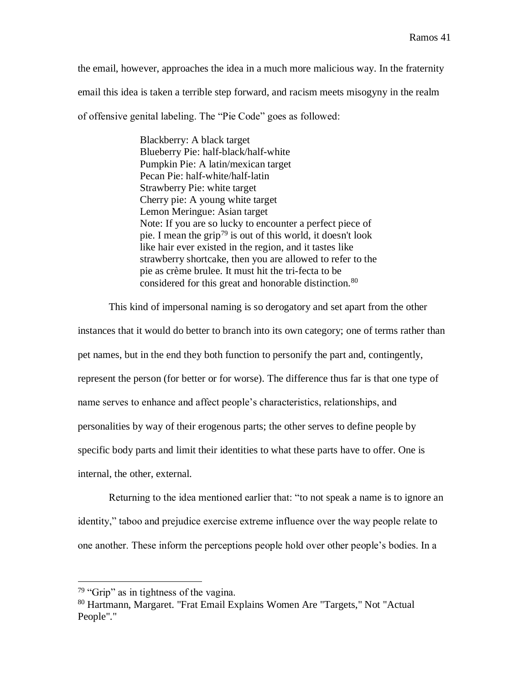the email, however, approaches the idea in a much more malicious way. In the fraternity email this idea is taken a terrible step forward, and racism meets misogyny in the realm of offensive genital labeling. The "Pie Code" goes as followed:

> Blackberry: A black target Blueberry Pie: half-black/half-white Pumpkin Pie: A latin/mexican target Pecan Pie: half-white/half-latin Strawberry Pie: white target Cherry pie: A young white target Lemon Meringue: Asian target Note: If you are so lucky to encounter a perfect piece of pie. I mean the grip<sup>79</sup> is out of this world, it doesn't look like hair ever existed in the region, and it tastes like strawberry shortcake, then you are allowed to refer to the pie as crème brulee. It must hit the tri-fecta to be considered for this great and honorable distinction.<sup>80</sup>

This kind of impersonal naming is so derogatory and set apart from the other

instances that it would do better to branch into its own category; one of terms rather than pet names, but in the end they both function to personify the part and, contingently, represent the person (for better or for worse). The difference thus far is that one type of name serves to enhance and affect people's characteristics, relationships, and personalities by way of their erogenous parts; the other serves to define people by specific body parts and limit their identities to what these parts have to offer. One is internal, the other, external.

Returning to the idea mentioned earlier that: "to not speak a name is to ignore an identity," taboo and prejudice exercise extreme influence over the way people relate to one another. These inform the perceptions people hold over other people's bodies. In a

<sup>79</sup> "Grip" as in tightness of the vagina.

<sup>80</sup> Hartmann, Margaret. "Frat Email Explains Women Are "Targets," Not "Actual People"."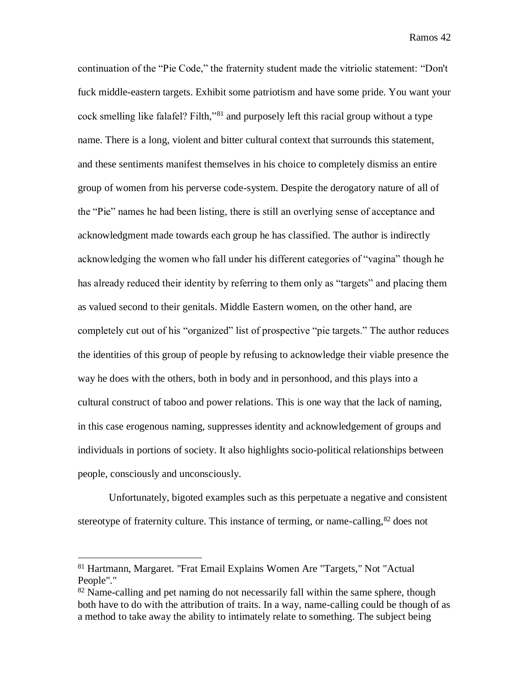continuation of the "Pie Code," the fraternity student made the vitriolic statement: "Don't fuck middle-eastern targets. Exhibit some patriotism and have some pride. You want your cock smelling like falafel? Filth,"<sup>81</sup> and purposely left this racial group without a type name. There is a long, violent and bitter cultural context that surrounds this statement, and these sentiments manifest themselves in his choice to completely dismiss an entire group of women from his perverse code-system. Despite the derogatory nature of all of the "Pie" names he had been listing, there is still an overlying sense of acceptance and acknowledgment made towards each group he has classified. The author is indirectly acknowledging the women who fall under his different categories of "vagina" though he has already reduced their identity by referring to them only as "targets" and placing them as valued second to their genitals. Middle Eastern women, on the other hand, are completely cut out of his "organized" list of prospective "pie targets." The author reduces the identities of this group of people by refusing to acknowledge their viable presence the way he does with the others, both in body and in personhood, and this plays into a cultural construct of taboo and power relations. This is one way that the lack of naming, in this case erogenous naming, suppresses identity and acknowledgement of groups and individuals in portions of society. It also highlights socio-political relationships between people, consciously and unconsciously.

Unfortunately, bigoted examples such as this perpetuate a negative and consistent stereotype of fraternity culture. This instance of terming, or name-calling,  $82$  does not

<sup>81</sup> Hartmann, Margaret. "Frat Email Explains Women Are "Targets," Not "Actual People"."

<sup>&</sup>lt;sup>82</sup> Name-calling and pet naming do not necessarily fall within the same sphere, though both have to do with the attribution of traits. In a way, name-calling could be though of as a method to take away the ability to intimately relate to something. The subject being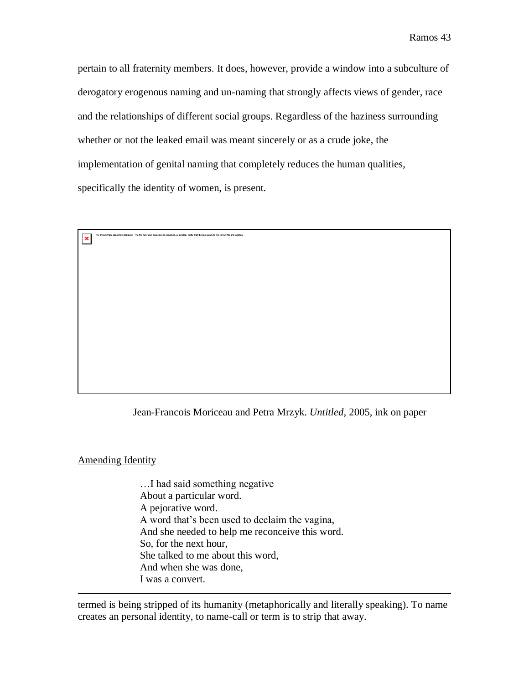pertain to all fraternity members. It does, however, provide a window into a subculture of derogatory erogenous naming and un-naming that strongly affects views of gender, race and the relationships of different social groups. Regardless of the haziness surrounding whether or not the leaked email was meant sincerely or as a crude joke, the implementation of genital naming that completely reduces the human qualities, specifically the identity of women, is present.

.<br>med, or deleted. Verify that the link points to the correct file and location.  $\pmb{\times}$ 

Jean-Francois Moriceau and Petra Mrzyk. *Untitled,* 2005, ink on paper

Amending Identity

 $\overline{a}$ 

…I had said something negative About a particular word. A pejorative word. A word that's been used to declaim the vagina, And she needed to help me reconceive this word. So, for the next hour, She talked to me about this word, And when she was done, I was a convert.

termed is being stripped of its humanity (metaphorically and literally speaking). To name creates an personal identity, to name-call or term is to strip that away.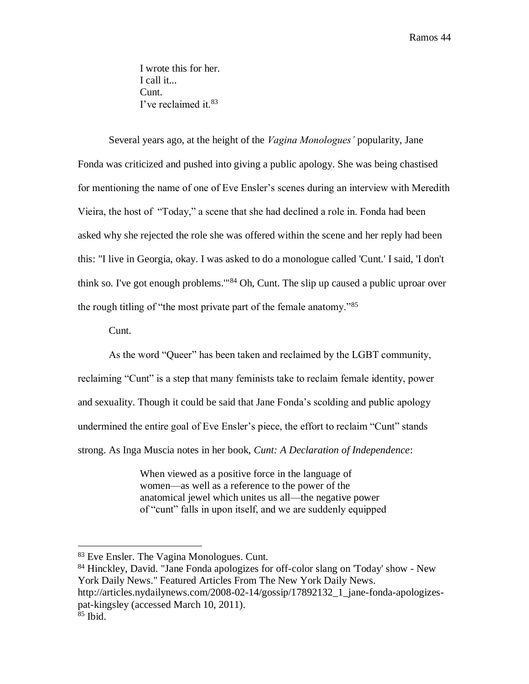I wrote this for her. I call it... Cunt. I've reclaimed it.<sup>83</sup>

Several years ago, at the height of the *Vagina Monologues'* popularity, Jane Fonda was criticized and pushed into giving a public apology. She was being chastised for mentioning the name of one of Eve Ensler's scenes during an interview with Meredith Vieira, the host of "Today," a scene that she had declined a role in. Fonda had been asked why she rejected the role she was offered within the scene and her reply had been this: "I live in Georgia, okay. I was asked to do a monologue called 'Cunt.' I said, 'I don't think so. I've got enough problems.'"<sup>84</sup> Oh, Cunt. The slip up caused a public uproar over the rough titling of "the most private part of the female anatomy."<sup>85</sup>

Cunt.

 $\overline{a}$ 

As the word "Queer" has been taken and reclaimed by the LGBT community, reclaiming "Cunt" is a step that many feminists take to reclaim female identity, power and sexuality. Though it could be said that Jane Fonda's scolding and public apology undermined the entire goal of Eve Ensler's piece, the effort to reclaim "Cunt" stands strong. As Inga Muscia notes in her book, *Cunt: A Declaration of Independence*:

> When viewed as a positive force in the language of women—as well as a reference to the power of the anatomical jewel which unites us all—the negative power of "cunt" falls in upon itself, and we are suddenly equipped

<sup>&</sup>lt;sup>83</sup> Eve Ensler. The Vagina Monologues. Cunt.

<sup>84</sup> Hinckley, David. "Jane Fonda apologizes for off-color slang on 'Today' show - New York Daily News." Featured Articles From The New York Daily News. http://articles.nydailynews.com/2008-02-14/gossip/17892132\_1\_jane-fonda-apologizespat-kingsley (accessed March 10, 2011).

 $85$  Ibid.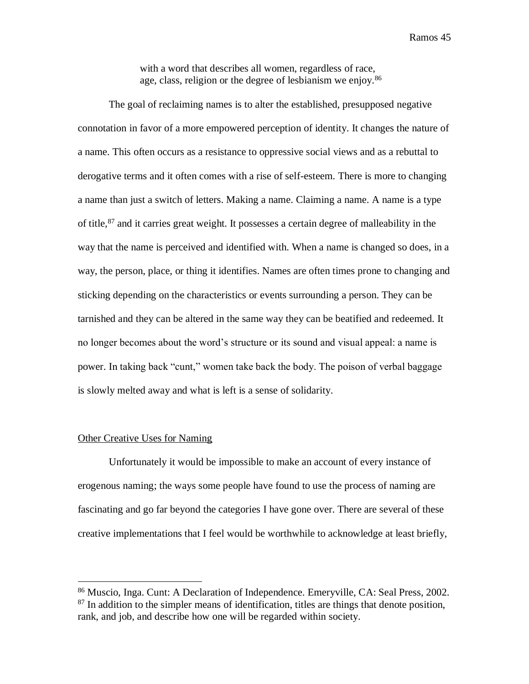with a word that describes all women, regardless of race, age, class, religion or the degree of lesbianism we enjoy.<sup>86</sup>

The goal of reclaiming names is to alter the established, presupposed negative connotation in favor of a more empowered perception of identity. It changes the nature of a name. This often occurs as a resistance to oppressive social views and as a rebuttal to derogative terms and it often comes with a rise of self-esteem. There is more to changing a name than just a switch of letters. Making a name. Claiming a name. A name is a type of title,  $87$  and it carries great weight. It possesses a certain degree of malleability in the way that the name is perceived and identified with. When a name is changed so does, in a way, the person, place, or thing it identifies. Names are often times prone to changing and sticking depending on the characteristics or events surrounding a person. They can be tarnished and they can be altered in the same way they can be beatified and redeemed. It no longer becomes about the word's structure or its sound and visual appeal: a name is power. In taking back "cunt," women take back the body. The poison of verbal baggage is slowly melted away and what is left is a sense of solidarity.

# Other Creative Uses for Naming

 $\overline{a}$ 

Unfortunately it would be impossible to make an account of every instance of erogenous naming; the ways some people have found to use the process of naming are fascinating and go far beyond the categories I have gone over. There are several of these creative implementations that I feel would be worthwhile to acknowledge at least briefly,

<sup>86</sup> Muscio, Inga. Cunt: A Declaration of Independence. Emeryville, CA: Seal Press, 2002. <sup>87</sup> In addition to the simpler means of identification, titles are things that denote position, rank, and job, and describe how one will be regarded within society.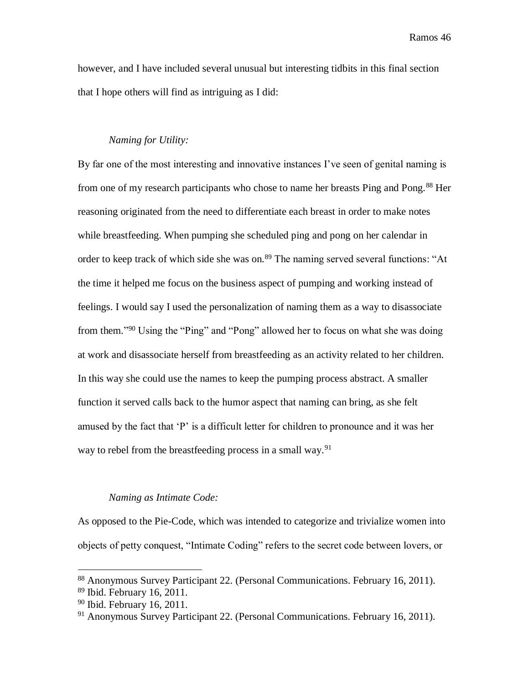however, and I have included several unusual but interesting tidbits in this final section that I hope others will find as intriguing as I did:

## *Naming for Utility:*

By far one of the most interesting and innovative instances I've seen of genital naming is from one of my research participants who chose to name her breasts Ping and Pong.<sup>88</sup> Her reasoning originated from the need to differentiate each breast in order to make notes while breastfeeding. When pumping she scheduled ping and pong on her calendar in order to keep track of which side she was on.<sup>89</sup> The naming served several functions: "At the time it helped me focus on the business aspect of pumping and working instead of feelings. I would say I used the personalization of naming them as a way to disassociate from them."<sup>90</sup> Using the "Ping" and "Pong" allowed her to focus on what she was doing at work and disassociate herself from breastfeeding as an activity related to her children. In this way she could use the names to keep the pumping process abstract. A smaller function it served calls back to the humor aspect that naming can bring, as she felt amused by the fact that 'P' is a difficult letter for children to pronounce and it was her way to rebel from the breastfeeding process in a small way.<sup>91</sup>

## *Naming as Intimate Code:*

As opposed to the Pie-Code, which was intended to categorize and trivialize women into objects of petty conquest, "Intimate Coding" refers to the secret code between lovers, or

<sup>88</sup> Anonymous Survey Participant 22. (Personal Communications. February 16, 2011). <sup>89</sup> Ibid. February 16, 2011.

<sup>90</sup> Ibid. February 16, 2011.

<sup>91</sup> Anonymous Survey Participant 22. (Personal Communications. February 16, 2011).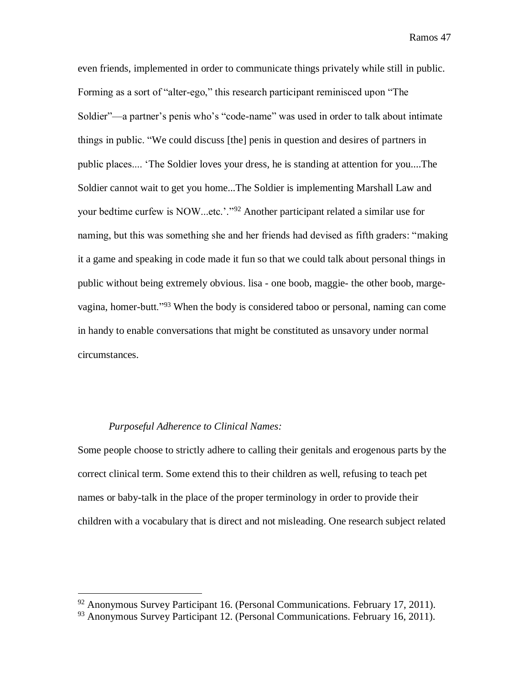even friends, implemented in order to communicate things privately while still in public. Forming as a sort of "alter-ego," this research participant reminisced upon "The Soldier"—a partner's penis who's "code-name" was used in order to talk about intimate things in public. "We could discuss [the] penis in question and desires of partners in public places.... 'The Soldier loves your dress, he is standing at attention for you....The Soldier cannot wait to get you home...The Soldier is implementing Marshall Law and your bedtime curfew is NOW...etc.'."<sup>92</sup> Another participant related a similar use for naming, but this was something she and her friends had devised as fifth graders: "making it a game and speaking in code made it fun so that we could talk about personal things in public without being extremely obvious. lisa - one boob, maggie- the other boob, margevagina, homer-butt."<sup>93</sup> When the body is considered taboo or personal, naming can come in handy to enable conversations that might be constituted as unsavory under normal circumstances.

#### *Purposeful Adherence to Clinical Names:*

 $\overline{a}$ 

Some people choose to strictly adhere to calling their genitals and erogenous parts by the correct clinical term. Some extend this to their children as well, refusing to teach pet names or baby-talk in the place of the proper terminology in order to provide their children with a vocabulary that is direct and not misleading. One research subject related

<sup>92</sup> Anonymous Survey Participant 16. (Personal Communications. February 17, 2011).

<sup>93</sup> Anonymous Survey Participant 12. (Personal Communications. February 16, 2011).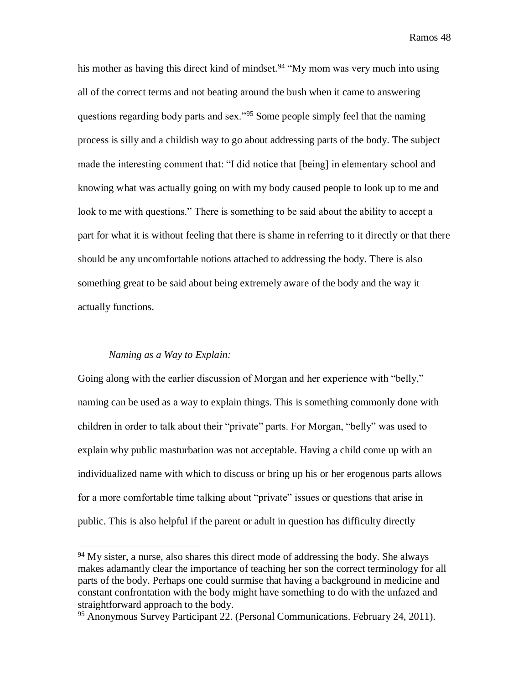his mother as having this direct kind of mindset.<sup>94</sup> "My mom was very much into using all of the correct terms and not beating around the bush when it came to answering questions regarding body parts and sex."<sup>95</sup> Some people simply feel that the naming process is silly and a childish way to go about addressing parts of the body. The subject made the interesting comment that: "I did notice that [being] in elementary school and knowing what was actually going on with my body caused people to look up to me and look to me with questions." There is something to be said about the ability to accept a part for what it is without feeling that there is shame in referring to it directly or that there should be any uncomfortable notions attached to addressing the body. There is also something great to be said about being extremely aware of the body and the way it actually functions.

#### *Naming as a Way to Explain:*

 $\overline{a}$ 

Going along with the earlier discussion of Morgan and her experience with "belly," naming can be used as a way to explain things. This is something commonly done with children in order to talk about their "private" parts. For Morgan, "belly" was used to explain why public masturbation was not acceptable. Having a child come up with an individualized name with which to discuss or bring up his or her erogenous parts allows for a more comfortable time talking about "private" issues or questions that arise in public. This is also helpful if the parent or adult in question has difficulty directly

<sup>&</sup>lt;sup>94</sup> My sister, a nurse, also shares this direct mode of addressing the body. She always makes adamantly clear the importance of teaching her son the correct terminology for all parts of the body. Perhaps one could surmise that having a background in medicine and constant confrontation with the body might have something to do with the unfazed and straightforward approach to the body.

<sup>&</sup>lt;sup>95</sup> Anonymous Survey Participant 22. (Personal Communications. February 24, 2011).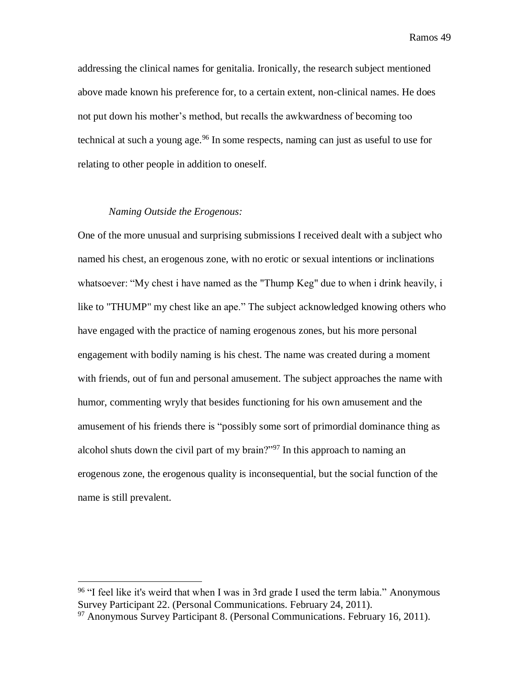addressing the clinical names for genitalia. Ironically, the research subject mentioned above made known his preference for, to a certain extent, non-clinical names. He does not put down his mother's method, but recalls the awkwardness of becoming too technical at such a young age.<sup>96</sup> In some respects, naming can just as useful to use for relating to other people in addition to oneself.

## *Naming Outside the Erogenous:*

 $\overline{a}$ 

One of the more unusual and surprising submissions I received dealt with a subject who named his chest, an erogenous zone, with no erotic or sexual intentions or inclinations whatsoever: "My chest i have named as the "Thump Keg" due to when i drink heavily, i like to "THUMP" my chest like an ape." The subject acknowledged knowing others who have engaged with the practice of naming erogenous zones, but his more personal engagement with bodily naming is his chest. The name was created during a moment with friends, out of fun and personal amusement. The subject approaches the name with humor, commenting wryly that besides functioning for his own amusement and the amusement of his friends there is "possibly some sort of primordial dominance thing as alcohol shuts down the civil part of my brain?"<sup>97</sup> In this approach to naming an erogenous zone, the erogenous quality is inconsequential, but the social function of the name is still prevalent.

<sup>&</sup>lt;sup>96</sup> "I feel like it's weird that when I was in 3rd grade I used the term labia." Anonymous Survey Participant 22. (Personal Communications. February 24, 2011).

 $97$  Anonymous Survey Participant 8. (Personal Communications. February 16, 2011).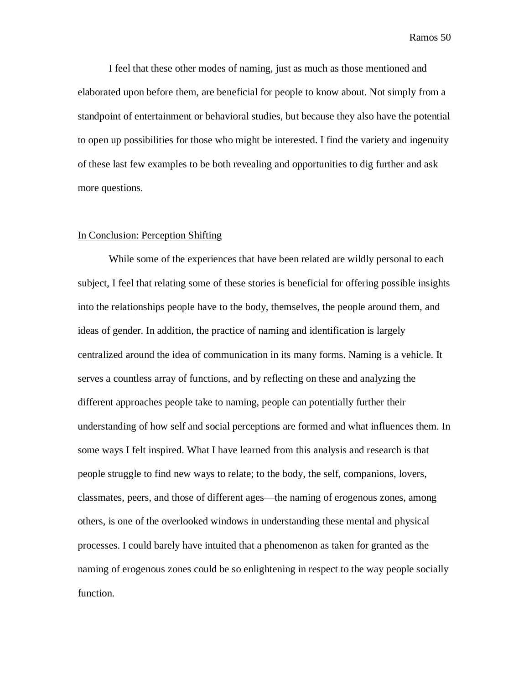I feel that these other modes of naming, just as much as those mentioned and elaborated upon before them, are beneficial for people to know about. Not simply from a standpoint of entertainment or behavioral studies, but because they also have the potential to open up possibilities for those who might be interested. I find the variety and ingenuity of these last few examples to be both revealing and opportunities to dig further and ask more questions.

#### In Conclusion: Perception Shifting

While some of the experiences that have been related are wildly personal to each subject, I feel that relating some of these stories is beneficial for offering possible insights into the relationships people have to the body, themselves, the people around them, and ideas of gender. In addition, the practice of naming and identification is largely centralized around the idea of communication in its many forms. Naming is a vehicle. It serves a countless array of functions, and by reflecting on these and analyzing the different approaches people take to naming, people can potentially further their understanding of how self and social perceptions are formed and what influences them. In some ways I felt inspired. What I have learned from this analysis and research is that people struggle to find new ways to relate; to the body, the self, companions, lovers, classmates, peers, and those of different ages—the naming of erogenous zones, among others, is one of the overlooked windows in understanding these mental and physical processes. I could barely have intuited that a phenomenon as taken for granted as the naming of erogenous zones could be so enlightening in respect to the way people socially function.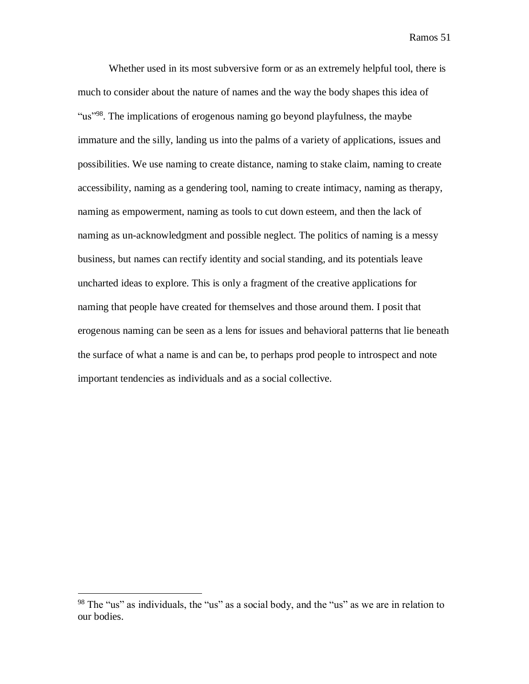Whether used in its most subversive form or as an extremely helpful tool, there is much to consider about the nature of names and the way the body shapes this idea of "us"<sup>98</sup>. The implications of erogenous naming go beyond playfulness, the maybe immature and the silly, landing us into the palms of a variety of applications, issues and possibilities. We use naming to create distance, naming to stake claim, naming to create accessibility, naming as a gendering tool, naming to create intimacy, naming as therapy, naming as empowerment, naming as tools to cut down esteem, and then the lack of naming as un-acknowledgment and possible neglect. The politics of naming is a messy business, but names can rectify identity and social standing, and its potentials leave uncharted ideas to explore. This is only a fragment of the creative applications for naming that people have created for themselves and those around them. I posit that erogenous naming can be seen as a lens for issues and behavioral patterns that lie beneath the surface of what a name is and can be, to perhaps prod people to introspect and note important tendencies as individuals and as a social collective.

<sup>98</sup> The "us" as individuals, the "us" as a social body, and the "us" as we are in relation to our bodies.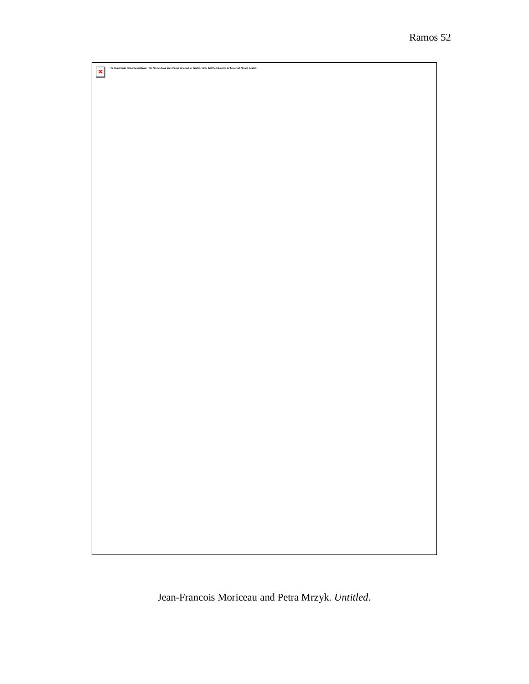The linked image cannot be displayed. The file may have been moved, renamed, or deleted. Verfy that the link points to the correct file and location.

Jean-Francois Moriceau and Petra Mrzyk. *Untitled*.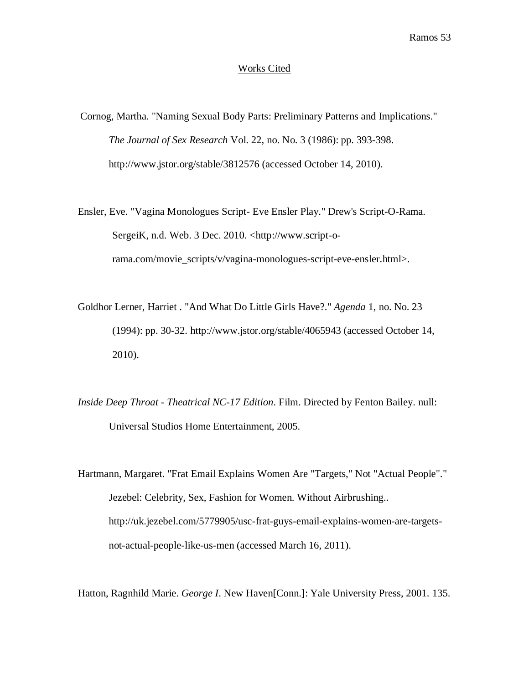### Works Cited

Cornog, Martha. "Naming Sexual Body Parts: Preliminary Patterns and Implications." *The Journal of Sex Research* Vol. 22, no. No. 3 (1986): pp. 393-398. http://www.jstor.org/stable/3812576 (accessed October 14, 2010).

Ensler, Eve. "Vagina Monologues Script- Eve Ensler Play." Drew's Script-O-Rama. SergeiK, n.d. Web. 3 Dec. 2010. <http://www.script-orama.com/movie\_scripts/v/vagina-monologues-script-eve-ensler.html>.

Goldhor Lerner, Harriet . "And What Do Little Girls Have?." *Agenda* 1, no. No. 23 (1994): pp. 30-32. http://www.jstor.org/stable/4065943 (accessed October 14, 2010).

*Inside Deep Throat - Theatrical NC-17 Edition*. Film. Directed by Fenton Bailey. null: Universal Studios Home Entertainment, 2005.

Hartmann, Margaret. "Frat Email Explains Women Are "Targets," Not "Actual People"." Jezebel: Celebrity, Sex, Fashion for Women. Without Airbrushing.. http://uk.jezebel.com/5779905/usc-frat-guys-email-explains-women-are-targetsnot-actual-people-like-us-men (accessed March 16, 2011).

Hatton, Ragnhild Marie. *George I*. New Haven[Conn.]: Yale University Press, 2001. 135.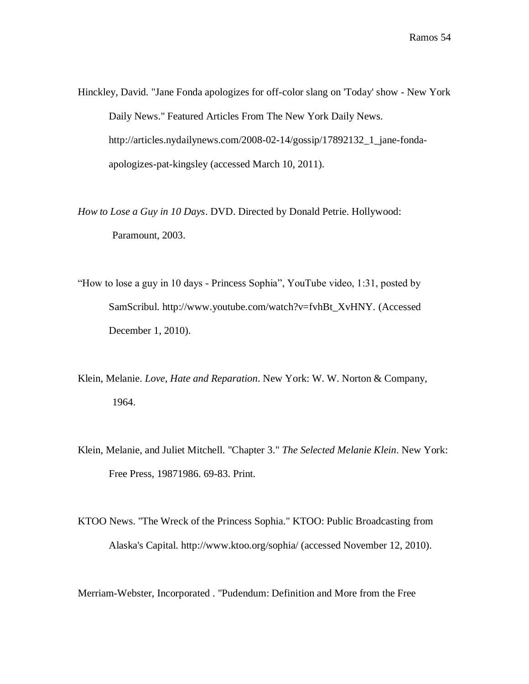Hinckley, David. "Jane Fonda apologizes for off-color slang on 'Today' show - New York Daily News." Featured Articles From The New York Daily News. http://articles.nydailynews.com/2008-02-14/gossip/17892132\_1\_jane-fondaapologizes-pat-kingsley (accessed March 10, 2011).

*How to Lose a Guy in 10 Days*. DVD. Directed by Donald Petrie. Hollywood: Paramount, 2003.

"How to lose a guy in 10 days - Princess Sophia", YouTube video, 1:31, posted by SamScribul. http://www.youtube.com/watch?v=fvhBt\_XvHNY. (Accessed December 1, 2010).

- Klein, Melanie. *Love, Hate and Reparation*. New York: W. W. Norton & Company, 1964.
- Klein, Melanie, and Juliet Mitchell. "Chapter 3." *The Selected Melanie Klein*. New York: Free Press, 19871986. 69-83. Print.
- KTOO News. "The Wreck of the Princess Sophia." KTOO: Public Broadcasting from Alaska's Capital. http://www.ktoo.org/sophia/ (accessed November 12, 2010).

Merriam-Webster, Incorporated . "Pudendum: Definition and More from the Free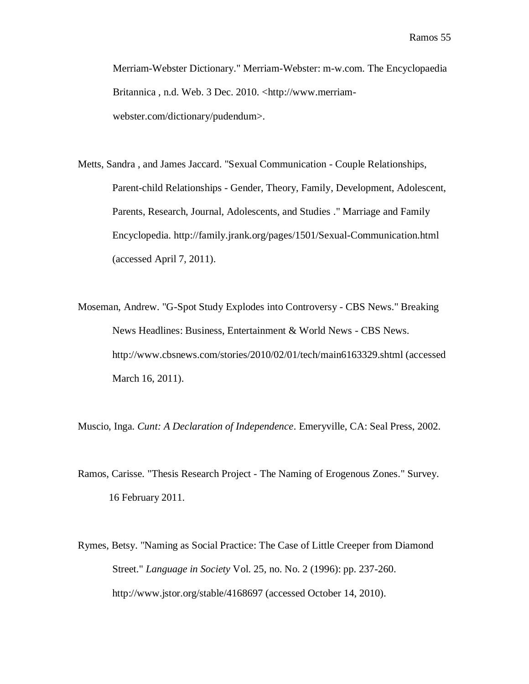Merriam-Webster Dictionary." Merriam-Webster: m-w.com. The Encyclopaedia Britannica, n.d. Web. 3 Dec. 2010. <http://www.merriamwebster.com/dictionary/pudendum>.

- Metts, Sandra , and James Jaccard. "Sexual Communication Couple Relationships, Parent-child Relationships - Gender, Theory, Family, Development, Adolescent, Parents, Research, Journal, Adolescents, and Studies ." Marriage and Family Encyclopedia. http://family.jrank.org/pages/1501/Sexual-Communication.html (accessed April 7, 2011).
- Moseman, Andrew. "G-Spot Study Explodes into Controversy CBS News." Breaking News Headlines: Business, Entertainment & World News - CBS News. http://www.cbsnews.com/stories/2010/02/01/tech/main6163329.shtml (accessed March 16, 2011).
- Muscio, Inga. *Cunt: A Declaration of Independence*. Emeryville, CA: Seal Press, 2002.
- Ramos, Carisse. "Thesis Research Project The Naming of Erogenous Zones." Survey. 16 February 2011.
- Rymes, Betsy. "Naming as Social Practice: The Case of Little Creeper from Diamond Street." *Language in Society* Vol. 25, no. No. 2 (1996): pp. 237-260. http://www.jstor.org/stable/4168697 (accessed October 14, 2010).